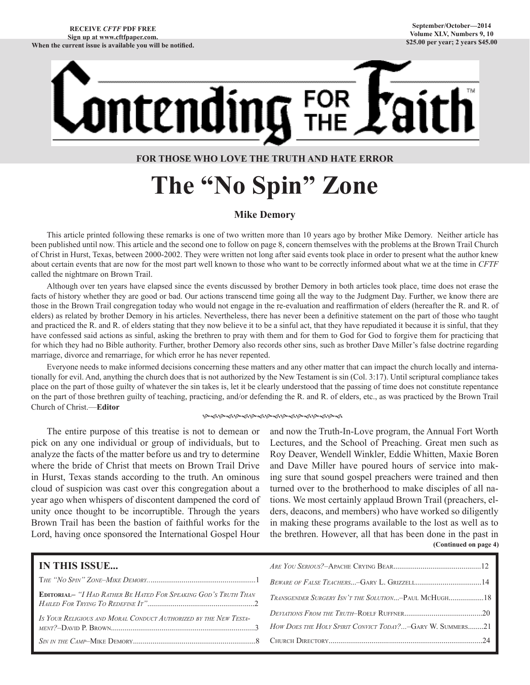# tending

#### **FOR THOSE WHO LOVE THE TRUTH AND HATE ERROR**

## **The "No Spin" Zone**

#### **Mike Demory**

This article printed following these remarks is one of two written more than 10 years ago by brother Mike Demory. Neither article has been published until now. This article and the second one to follow on page 8, concern themselves with the problems at the Brown Trail Church of Christ in Hurst, Texas, between 2000-2002. They were written not long after said events took place in order to present what the author knew about certain events that are now for the most part well known to those who want to be correctly informed about what we at the time in *CFTF*  called the nightmare on Brown Trail.

Although over ten years have elapsed since the events discussed by brother Demory in both articles took place, time does not erase the facts of history whether they are good or bad. Our actions transcend time going all the way to the Judgment Day. Further, we know there are those in the Brown Trail congregation today who would not engage in the re-evaluation and reaffirmation of elders (hereafter the R. and R. of elders) as related by brother Demory in his articles. Nevertheless, there has never been a definitive statement on the part of those who taught and practiced the R. and R. of elders stating that they now believe it to be a sinful act, that they have repudiated it because it is sinful, that they have confessed said actions as sinful, asking the brethren to pray with them and for them to God for God to forgive them for practicing that for which they had no Bible authority. Further, brother Demory also records other sins, such as brother Dave Miller's false doctrine regarding marriage, divorce and remarriage, for which error he has never repented.

Everyone needs to make informed decisions concerning these matters and any other matter that can impact the church locally and internationally for evil. And, anything the church does that is not authorized by the New Testament is sin (Col. 3:17). Until scriptural compliance takes place on the part of those guilty of whatever the sin takes is, let it be clearly understood that the passing of time does not constitute repentance on the part of those brethren guilty of teaching, practicing, and/or defending the R. and R. of elders, etc., as was practiced by the Brown Trail Church of Christ.—**Editor**

#### ֍֍֍֍֍֍֍֍֍֍֍֍֍֍֍֍

The entire purpose of this treatise is not to demean or pick on any one individual or group of individuals, but to analyze the facts of the matter before us and try to determine where the bride of Christ that meets on Brown Trail Drive in Hurst, Texas stands according to the truth. An ominous cloud of suspicion was cast over this congregation about a year ago when whispers of discontent dampened the cord of unity once thought to be incorruptible. Through the years Brown Trail has been the bastion of faithful works for the Lord, having once sponsored the International Gospel Hour

**(Continued on page 4)** and now the Truth-In-Love program, the Annual Fort Worth Lectures, and the School of Preaching. Great men such as Roy Deaver, Wendell Winkler, Eddie Whitten, Maxie Boren and Dave Miller have poured hours of service into making sure that sound gospel preachers were trained and then turned over to the brotherhood to make disciples of all nations. We most certainly applaud Brown Trail (preachers, elders, deacons, and members) who have worked so diligently in making these programs available to the lost as well as to the brethren. However, all that has been done in the past in

| <b>IN THIS ISSUE</b>                                                   |                                                           |
|------------------------------------------------------------------------|-----------------------------------------------------------|
|                                                                        |                                                           |
| <b>EDITORIAL-</b> "I HAD RATHER BE HATED FOR SPEAKING GOD'S TRUTH THAN | TRANSGENDER SURGERY ISN'T THE SOLUTION-PAUL MCHUGH18      |
| IS YOUR RELIGIOUS AND MORAL CONDUCT AUTHORIZED BY THE NEW TESTA-       |                                                           |
|                                                                        | HOW DOES THE HOLY SPIRIT CONVICT TODAY?-GARY W. SUMMERS21 |
|                                                                        |                                                           |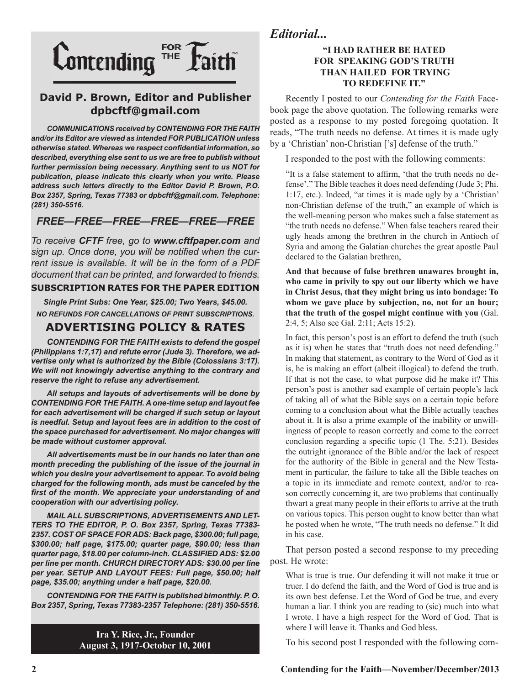

#### **David P. Brown, Editor and Publisher dpbcftf@gmail.com**

*COMMUNICATIONS received by CONTENDING FOR THE FAITH and/or its Editor are viewed as intended FOR PUBLICATION unless otherwise stated. Whereas we respect confidential information, so described, everything else sent to us we are free to publish without further permission being necessary. Anything sent to us NOT for publication, please indicate this clearly when you write. Please address such letters directly to the Editor David P. Brown, P.O. Box 2357, Spring, Texas 77383 or dpbcftf@gmail.com. Telephone: (281) 350-5516.*

#### *FREE—FREE—FREE—FREE—FREE—FREE*

*To receive CFTF free, go to www.cftfpaper.com and sign up. Once done, you will be notified when the current issue is available. It will be in the form of a PDF document that can be printed, and forwarded to friends.*

#### **SUBSCRIPTION RATES FOR THE PAPER EDITION**

*Single Print Subs: One Year, \$25.00; Two Years, \$45.00. NO REFUNDS FOR CANCELLATIONS OF PRINT SUBSCRIPTIONS.*

#### **ADVERTISING POLICY & RATES**

*CONTENDING FOR THE FAITH exists to defend the gospel (Philippians 1:7,17) and refute error (Jude 3). Therefore, we advertise only what is authorized by the Bible (Colossians 3:17). We will not knowingly advertise anything to the contrary and reserve the right to refuse any advertisement.*

*All setups and layouts of advertisements will be done by CONTENDING FOR THE FAITH. A one-time setup and layout fee for each advertisement will be charged if such setup or layout is needful. Setup and layout fees are in addition to the cost of the space purchased for advertisement. No major changes will be made without customer approval.*

*All advertisements must be in our hands no later than one month preceding the publishing of the issue of the journal in which you desire your advertisement to appear. To avoid being charged for the following month, ads must be canceled by the first of the month. We appreciate your understanding of and cooperation with our advertising policy.*

*MAIL ALL SUBSCRIPTIONS, ADVERTISEMENTS AND LET-TERS TO THE EDITOR, P. O. Box 2357, Spring, Texas 77383- 2357. COST OF SPACE FOR ADS: Back page, \$300.00; full page, \$300.00; half page, \$175.00; quarter page, \$90.00; less than quarter page, \$18.00 per column-inch. CLASSIFIED ADS: \$2.00 per line per month. CHURCH DIRECTORY ADS: \$30.00 per line per year. SETUP AND LAYOUT FEES: Full page, \$50.00; half page, \$35.00; anything under a half page, \$20.00.*

*CONTENDING FOR THE FAITH is published bimonthly. P. O. Box 2357, Spring, Texas 77383-2357 Telephone: (281) 350-5516.*

> **Ira Y. Rice, Jr., Founder August 3, 1917-October 10, 2001**

#### *Editorial...*

#### **"I HAD RATHER BE HATED FOR SPEAKING GOD'S TRUTH THAN HAILED FOR TRYING TO REDEFINE IT."**

Recently I posted to our *Contending for the Faith* Facebook page the above quotation. The following remarks were posted as a response to my posted foregoing quotation. It reads, "The truth needs no defense. At times it is made ugly by a 'Christian' non-Christian ['s] defense of the truth."

I responded to the post with the following comments:

"It is a false statement to affirm, 'that the truth needs no defense'." The Bible teaches it does need defending (Jude 3; Phi. 1:17, etc.). Indeed, "at times it is made ugly by a 'Christian' non-Christian defense of the truth," an example of which is the well-meaning person who makes such a false statement as "the truth needs no defense." When false teachers reared their ugly heads among the brethren in the church in Antioch of Syria and among the Galatian churches the great apostle Paul declared to the Galatian brethren,

**And that because of false brethren unawares brought in, who came in privily to spy out our liberty which we have in Christ Jesus, that they might bring us into bondage: To whom we gave place by subjection, no, not for an hour; that the truth of the gospel might continue with you** (Gal. 2:4, 5; Also see Gal. 2:11; Acts 15:2).

In fact, this person's post is an effort to defend the truth (such as it is) when he states that "truth does not need defending." In making that statement, as contrary to the Word of God as it is, he is making an effort (albeit illogical) to defend the truth. If that is not the case, to what purpose did he make it? This person's post is another sad example of certain people's lack of taking all of what the Bible says on a certain topic before coming to a conclusion about what the Bible actually teaches about it. It is also a prime example of the inability or unwillingness of people to reason correctly and come to the correct conclusion regarding a specific topic (1 The. 5:21). Besides the outright ignorance of the Bible and/or the lack of respect for the authority of the Bible in general and the New Testament in particular, the failure to take all the Bible teaches on a topic in its immediate and remote context, and/or to reason correctly concerning it, are two problems that continually thwart a great many people in their efforts to arrive at the truth on various topics. This person ought to know better than what he posted when he wrote, "The truth needs no defense." It did in his case.

That person posted a second response to my preceding post. He wrote:

What is true is true. Our defending it will not make it true or truer. I do defend the faith, and the Word of God is true and is its own best defense. Let the Word of God be true, and every human a liar. I think you are reading to (sic) much into what I wrote. I have a high respect for the Word of God. That is where I will leave it. Thanks and God bless.

To his second post I responded with the following com-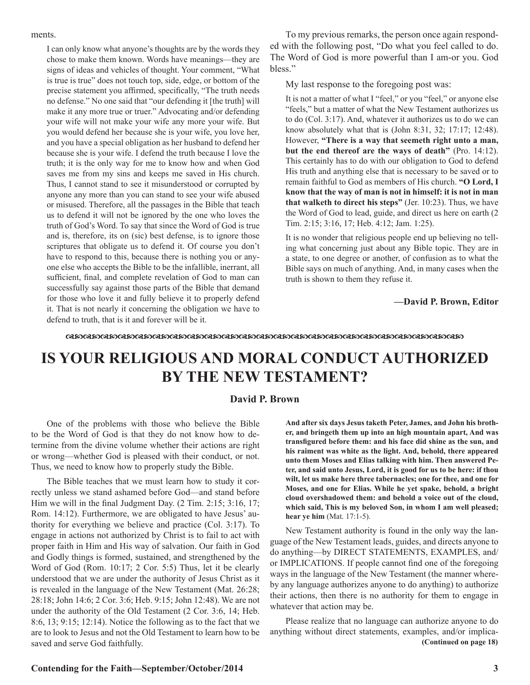#### ments.

I can only know what anyone's thoughts are by the words they chose to make them known. Words have meanings—they are signs of ideas and vehicles of thought. Your comment, "What is true is true" does not touch top, side, edge, or bottom of the precise statement you affirmed, specifically, "The truth needs no defense." No one said that "our defending it [the truth] will make it any more true or truer." Advocating and/or defending your wife will not make your wife any more your wife. But you would defend her because she is your wife, you love her, and you have a special obligation as her husband to defend her because she is your wife. I defend the truth because I love the truth; it is the only way for me to know how and when God saves me from my sins and keeps me saved in His church. Thus, I cannot stand to see it misunderstood or corrupted by anyone any more than you can stand to see your wife abused or misused. Therefore, all the passages in the Bible that teach us to defend it will not be ignored by the one who loves the truth of God's Word. To say that since the Word of God is true and is, therefore, its on (sic) best defense, is to ignore those scriptures that obligate us to defend it. Of course you don't have to respond to this, because there is nothing you or anyone else who accepts the Bible to be the infallible, inerrant, all sufficient, final, and complete revelation of God to man can successfully say against those parts of the Bible that demand for those who love it and fully believe it to properly defend it. That is not nearly it concerning the obligation we have to defend to truth, that is it and forever will be it.

To my previous remarks, the person once again responded with the following post, "Do what you feel called to do. The Word of God is more powerful than I am-or you. God bless."

My last response to the foregoing post was:

It is not a matter of what I "feel," or you "feel," or anyone else "feels," but a matter of what the New Testament authorizes us to do (Col. 3:17). And, whatever it authorizes us to do we can know absolutely what that is (John 8:31, 32; 17:17; 12:48). However, **"There is a way that seemeth right unto a man, but the end thereof are the ways of death"** (Pro. 14:12). This certainly has to do with our obligation to God to defend His truth and anything else that is necessary to be saved or to remain faithful to God as members of His church. **"O Lord, I know that the way of man is not in himself: it is not in man that walketh to direct his steps"** (Jer. 10:23). Thus, we have the Word of God to lead, guide, and direct us here on earth (2 Tim. 2:15; 3:16, 17; Heb. 4:12; Jam. 1:25).

It is no wonder that religious people end up believing no telling what concerning just about any Bible topic. They are in a state, to one degree or another, of confusion as to what the Bible says on much of anything. And, in many cases when the truth is shown to them they refuse it.

**—David P. Brown, Editor**

#### dcdcdcdcdcdcdcdcdcdcdcdcdcdcdcdcdcdcdcdcdcdcdc

### **IS YOUR RELIGIOUS AND MORAL CONDUCT AUTHORIZED BY THE NEW TESTAMENT?**

#### **David P. Brown**

One of the problems with those who believe the Bible to be the Word of God is that they do not know how to determine from the divine volume whether their actions are right or wrong—whether God is pleased with their conduct, or not. Thus, we need to know how to properly study the Bible.

The Bible teaches that we must learn how to study it correctly unless we stand ashamed before God—and stand before Him we will in the final Judgment Day. (2 Tim. 2:15; 3:16, 17; Rom. 14:12). Furthermore, we are obligated to have Jesus' authority for everything we believe and practice (Col. 3:17). To engage in actions not authorized by Christ is to fail to act with proper faith in Him and His way of salvation. Our faith in God and Godly things is formed, sustained, and strengthened by the Word of God (Rom. 10:17; 2 Cor. 5:5) Thus, let it be clearly understood that we are under the authority of Jesus Christ as it is revealed in the language of the New Testament (Mat. 26:28; 28:18; John 14:6; 2 Cor. 3:6; Heb. 9:15; John 12:48). We are not under the authority of the Old Testament (2 Cor. 3:6, 14; Heb. 8:6, 13; 9:15; 12:14). Notice the following as to the fact that we are to look to Jesus and not the Old Testament to learn how to be saved and serve God faithfully.

**And after six days Jesus taketh Peter, James, and John his brother, and bringeth them up into an high mountain apart, And was transfigured before them: and his face did shine as the sun, and his raiment was white as the light. And, behold, there appeared unto them Moses and Elias talking with him. Then answered Peter, and said unto Jesus, Lord, it is good for us to be here: if thou wilt, let us make here three tabernacles; one for thee, and one for Moses, and one for Elias. While he yet spake, behold, a bright cloud overshadowed them: and behold a voice out of the cloud, which said, This is my beloved Son, in whom I am well pleased; hear ye him** (Mat. 17:1-5).

New Testament authority is found in the only way the language of the New Testament leads, guides, and directs anyone to do anything—by DIRECT STATEMENTS, EXAMPLES, and/ or IMPLICATIONS. If people cannot find one of the foregoing ways in the language of the New Testament (the manner whereby any language authorizes anyone to do anything) to authorize their actions, then there is no authority for them to engage in whatever that action may be.

Please realize that no language can authorize anyone to do anything without direct statements, examples, and/or implica- **(Continued on page 18)**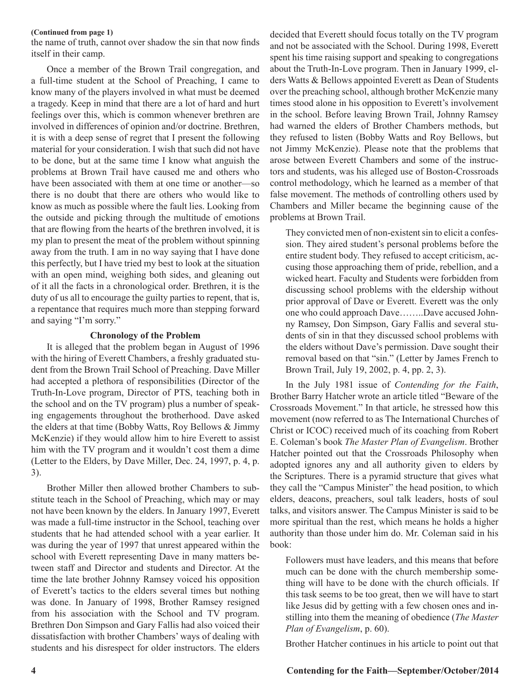#### **(Continued from page 1)**

the name of truth, cannot over shadow the sin that now finds itself in their camp.

Once a member of the Brown Trail congregation, and a full-time student at the School of Preaching, I came to know many of the players involved in what must be deemed a tragedy. Keep in mind that there are a lot of hard and hurt feelings over this, which is common whenever brethren are involved in differences of opinion and/or doctrine. Brethren, it is with a deep sense of regret that I present the following material for your consideration. I wish that such did not have to be done, but at the same time I know what anguish the problems at Brown Trail have caused me and others who have been associated with them at one time or another—so there is no doubt that there are others who would like to know as much as possible where the fault lies. Looking from the outside and picking through the multitude of emotions that are flowing from the hearts of the brethren involved, it is my plan to present the meat of the problem without spinning away from the truth. I am in no way saying that I have done this perfectly, but I have tried my best to look at the situation with an open mind, weighing both sides, and gleaning out of it all the facts in a chronological order. Brethren, it is the duty of us all to encourage the guilty parties to repent, that is, a repentance that requires much more than stepping forward and saying "I'm sorry."

#### **Chronology of the Problem**

It is alleged that the problem began in August of 1996 with the hiring of Everett Chambers, a freshly graduated student from the Brown Trail School of Preaching. Dave Miller had accepted a plethora of responsibilities (Director of the Truth-In-Love program, Director of PTS, teaching both in the school and on the TV program) plus a number of speaking engagements throughout the brotherhood. Dave asked the elders at that time (Bobby Watts, Roy Bellows & Jimmy McKenzie) if they would allow him to hire Everett to assist him with the TV program and it wouldn't cost them a dime (Letter to the Elders, by Dave Miller, Dec. 24, 1997, p. 4, p. 3).

Brother Miller then allowed brother Chambers to substitute teach in the School of Preaching, which may or may not have been known by the elders. In January 1997, Everett was made a full-time instructor in the School, teaching over students that he had attended school with a year earlier. It was during the year of 1997 that unrest appeared within the school with Everett representing Dave in many matters between staff and Director and students and Director. At the time the late brother Johnny Ramsey voiced his opposition of Everett's tactics to the elders several times but nothing was done. In January of 1998, Brother Ramsey resigned from his association with the School and TV program. Brethren Don Simpson and Gary Fallis had also voiced their dissatisfaction with brother Chambers' ways of dealing with students and his disrespect for older instructors. The elders

decided that Everett should focus totally on the TV program and not be associated with the School. During 1998, Everett spent his time raising support and speaking to congregations about the Truth-In-Love program. Then in January 1999, elders Watts & Bellows appointed Everett as Dean of Students over the preaching school, although brother McKenzie many times stood alone in his opposition to Everett's involvement in the school. Before leaving Brown Trail, Johnny Ramsey had warned the elders of Brother Chambers methods, but they refused to listen (Bobby Watts and Roy Bellows, but not Jimmy McKenzie). Please note that the problems that arose between Everett Chambers and some of the instructors and students, was his alleged use of Boston-Crossroads control methodology, which he learned as a member of that false movement. The methods of controlling others used by Chambers and Miller became the beginning cause of the problems at Brown Trail.

They convicted men of non-existent sin to elicit a confession. They aired student's personal problems before the entire student body. They refused to accept criticism, accusing those approaching them of pride, rebellion, and a wicked heart. Faculty and Students were forbidden from discussing school problems with the eldership without prior approval of Dave or Everett. Everett was the only one who could approach Dave……..Dave accused Johnny Ramsey, Don Simpson, Gary Fallis and several students of sin in that they discussed school problems with the elders without Dave's permission. Dave sought their removal based on that "sin." (Letter by James French to Brown Trail, July 19, 2002, p. 4, pp. 2, 3).

In the July 1981 issue of *Contending for the Faith*, Brother Barry Hatcher wrote an article titled "Beware of the Crossroads Movement." In that article, he stressed how this movement (now referred to as The International Churches of Christ or ICOC) received much of its coaching from Robert E. Coleman's book *The Master Plan of Evangelism*. Brother Hatcher pointed out that the Crossroads Philosophy when adopted ignores any and all authority given to elders by the Scriptures. There is a pyramid structure that gives what they call the "Campus Minister" the head position, to which elders, deacons, preachers, soul talk leaders, hosts of soul talks, and visitors answer. The Campus Minister is said to be more spiritual than the rest, which means he holds a higher authority than those under him do. Mr. Coleman said in his book:

Followers must have leaders, and this means that before much can be done with the church membership something will have to be done with the church officials. If this task seems to be too great, then we will have to start like Jesus did by getting with a few chosen ones and instilling into them the meaning of obedience (*The Master Plan of Evangelism*, p. 60).

Brother Hatcher continues in his article to point out that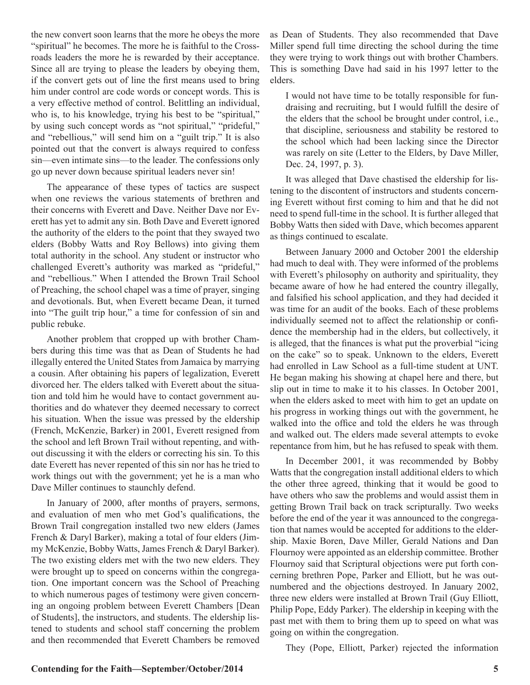the new convert soon learns that the more he obeys the more "spiritual" he becomes. The more he is faithful to the Crossroads leaders the more he is rewarded by their acceptance. Since all are trying to please the leaders by obeying them, if the convert gets out of line the first means used to bring him under control are code words or concept words. This is a very effective method of control. Belittling an individual, who is, to his knowledge, trying his best to be "spiritual," by using such concept words as "not spiritual," "prideful," and "rebellious," will send him on a "guilt trip." It is also pointed out that the convert is always required to confess sin—even intimate sins—to the leader. The confessions only go up never down because spiritual leaders never sin!

The appearance of these types of tactics are suspect when one reviews the various statements of brethren and their concerns with Everett and Dave. Neither Dave nor Everett has yet to admit any sin. Both Dave and Everett ignored the authority of the elders to the point that they swayed two elders (Bobby Watts and Roy Bellows) into giving them total authority in the school. Any student or instructor who challenged Everett's authority was marked as "prideful," and "rebellious." When I attended the Brown Trail School of Preaching, the school chapel was a time of prayer, singing and devotionals. But, when Everett became Dean, it turned into "The guilt trip hour," a time for confession of sin and public rebuke.

Another problem that cropped up with brother Chambers during this time was that as Dean of Students he had illegally entered the United States from Jamaica by marrying a cousin. After obtaining his papers of legalization, Everett divorced her. The elders talked with Everett about the situation and told him he would have to contact government authorities and do whatever they deemed necessary to correct his situation. When the issue was pressed by the eldership (French, McKenzie, Barker) in 2001, Everett resigned from the school and left Brown Trail without repenting, and without discussing it with the elders or correcting his sin. To this date Everett has never repented of this sin nor has he tried to work things out with the government; yet he is a man who Dave Miller continues to staunchly defend.

In January of 2000, after months of prayers, sermons, and evaluation of men who met God's qualifications, the Brown Trail congregation installed two new elders (James French & Daryl Barker), making a total of four elders (Jimmy McKenzie, Bobby Watts, James French & Daryl Barker). The two existing elders met with the two new elders. They were brought up to speed on concerns within the congregation. One important concern was the School of Preaching to which numerous pages of testimony were given concerning an ongoing problem between Everett Chambers [Dean of Students], the instructors, and students. The eldership listened to students and school staff concerning the problem and then recommended that Everett Chambers be removed as Dean of Students. They also recommended that Dave Miller spend full time directing the school during the time they were trying to work things out with brother Chambers. This is something Dave had said in his 1997 letter to the elders.

I would not have time to be totally responsible for fundraising and recruiting, but I would fulfill the desire of the elders that the school be brought under control, i.e., that discipline, seriousness and stability be restored to the school which had been lacking since the Director was rarely on site (Letter to the Elders, by Dave Miller, Dec. 24, 1997, p. 3).

It was alleged that Dave chastised the eldership for listening to the discontent of instructors and students concerning Everett without first coming to him and that he did not need to spend full-time in the school. It is further alleged that Bobby Watts then sided with Dave, which becomes apparent as things continued to escalate.

Between January 2000 and October 2001 the eldership had much to deal with. They were informed of the problems with Everett's philosophy on authority and spirituality, they became aware of how he had entered the country illegally, and falsified his school application, and they had decided it was time for an audit of the books. Each of these problems individually seemed not to affect the relationship or confidence the membership had in the elders, but collectively, it is alleged, that the finances is what put the proverbial "icing on the cake" so to speak. Unknown to the elders, Everett had enrolled in Law School as a full-time student at UNT. He began making his showing at chapel here and there, but slip out in time to make it to his classes. In October 2001, when the elders asked to meet with him to get an update on his progress in working things out with the government, he walked into the office and told the elders he was through and walked out. The elders made several attempts to evoke repentance from him, but he has refused to speak with them.

In December 2001, it was recommended by Bobby Watts that the congregation install additional elders to which the other three agreed, thinking that it would be good to have others who saw the problems and would assist them in getting Brown Trail back on track scripturally. Two weeks before the end of the year it was announced to the congregation that names would be accepted for additions to the eldership. Maxie Boren, Dave Miller, Gerald Nations and Dan Flournoy were appointed as an eldership committee. Brother Flournoy said that Scriptural objections were put forth concerning brethren Pope, Parker and Elliott, but he was outnumbered and the objections destroyed. In January 2002, three new elders were installed at Brown Trail (Guy Elliott, Philip Pope, Eddy Parker). The eldership in keeping with the past met with them to bring them up to speed on what was going on within the congregation.

They (Pope, Elliott, Parker) rejected the information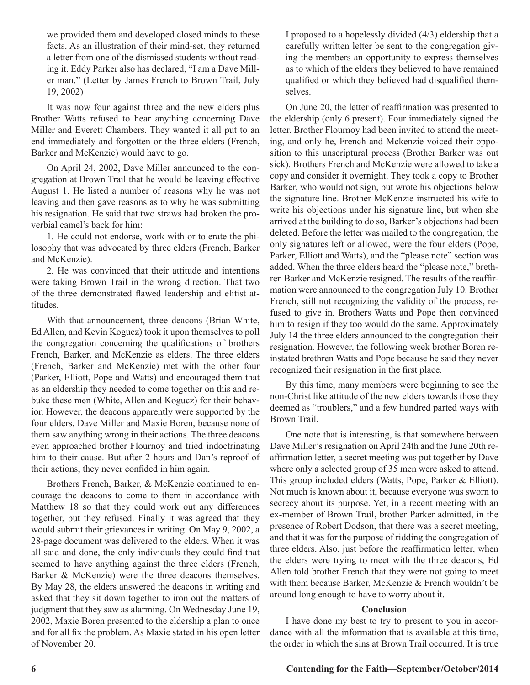we provided them and developed closed minds to these facts. As an illustration of their mind-set, they returned a letter from one of the dismissed students without reading it. Eddy Parker also has declared, "I am a Dave Miller man." (Letter by James French to Brown Trail, July 19, 2002)

It was now four against three and the new elders plus Brother Watts refused to hear anything concerning Dave Miller and Everett Chambers. They wanted it all put to an end immediately and forgotten or the three elders (French, Barker and McKenzie) would have to go.

On April 24, 2002, Dave Miller announced to the congregation at Brown Trail that he would be leaving effective August 1. He listed a number of reasons why he was not leaving and then gave reasons as to why he was submitting his resignation. He said that two straws had broken the proverbial camel's back for him:

1. He could not endorse, work with or tolerate the philosophy that was advocated by three elders (French, Barker and McKenzie).

2. He was convinced that their attitude and intentions were taking Brown Trail in the wrong direction. That two of the three demonstrated flawed leadership and elitist attitudes.

With that announcement, three deacons (Brian White, Ed Allen, and Kevin Kogucz) took it upon themselves to poll the congregation concerning the qualifications of brothers French, Barker, and McKenzie as elders. The three elders (French, Barker and McKenzie) met with the other four (Parker, Elliott, Pope and Watts) and encouraged them that as an eldership they needed to come together on this and rebuke these men (White, Allen and Kogucz) for their behavior. However, the deacons apparently were supported by the four elders, Dave Miller and Maxie Boren, because none of them saw anything wrong in their actions. The three deacons even approached brother Flournoy and tried indoctrinating him to their cause. But after 2 hours and Dan's reproof of their actions, they never confided in him again.

Brothers French, Barker, & McKenzie continued to encourage the deacons to come to them in accordance with Matthew 18 so that they could work out any differences together, but they refused. Finally it was agreed that they would submit their grievances in writing. On May 9, 2002, a 28-page document was delivered to the elders. When it was all said and done, the only individuals they could find that seemed to have anything against the three elders (French, Barker & McKenzie) were the three deacons themselves. By May 28, the elders answered the deacons in writing and asked that they sit down together to iron out the matters of judgment that they saw as alarming. On Wednesday June 19, 2002, Maxie Boren presented to the eldership a plan to once and for all fix the problem. As Maxie stated in his open letter of November 20,

I proposed to a hopelessly divided (4/3) eldership that a carefully written letter be sent to the congregation giving the members an opportunity to express themselves as to which of the elders they believed to have remained qualified or which they believed had disqualified themselves.

On June 20, the letter of reaffirmation was presented to the eldership (only 6 present). Four immediately signed the letter. Brother Flournoy had been invited to attend the meeting, and only he, French and Mckenzie voiced their opposition to this unscriptural process (Brother Barker was out sick). Brothers French and McKenzie were allowed to take a copy and consider it overnight. They took a copy to Brother Barker, who would not sign, but wrote his objections below the signature line. Brother McKenzie instructed his wife to write his objections under his signature line, but when she arrived at the building to do so, Barker's objections had been deleted. Before the letter was mailed to the congregation, the only signatures left or allowed, were the four elders (Pope, Parker, Elliott and Watts), and the "please note" section was added. When the three elders heard the "please note," brethren Barker and McKenzie resigned. The results of the reaffirmation were announced to the congregation July 10. Brother French, still not recognizing the validity of the process, refused to give in. Brothers Watts and Pope then convinced him to resign if they too would do the same. Approximately July 14 the three elders announced to the congregation their resignation. However, the following week brother Boren reinstated brethren Watts and Pope because he said they never recognized their resignation in the first place.

By this time, many members were beginning to see the non-Christ like attitude of the new elders towards those they deemed as "troublers," and a few hundred parted ways with Brown Trail.

One note that is interesting, is that somewhere between Dave Miller's resignation on April 24th and the June 20th reaffirmation letter, a secret meeting was put together by Dave where only a selected group of 35 men were asked to attend. This group included elders (Watts, Pope, Parker & Elliott). Not much is known about it, because everyone was sworn to secrecy about its purpose. Yet, in a recent meeting with an ex-member of Brown Trail, brother Parker admitted, in the presence of Robert Dodson, that there was a secret meeting, and that it was for the purpose of ridding the congregation of three elders. Also, just before the reaffirmation letter, when the elders were trying to meet with the three deacons, Ed Allen told brother French that they were not going to meet with them because Barker, McKenzie & French wouldn't be around long enough to have to worry about it.

#### **Conclusion**

I have done my best to try to present to you in accordance with all the information that is available at this time, the order in which the sins at Brown Trail occurred. It is true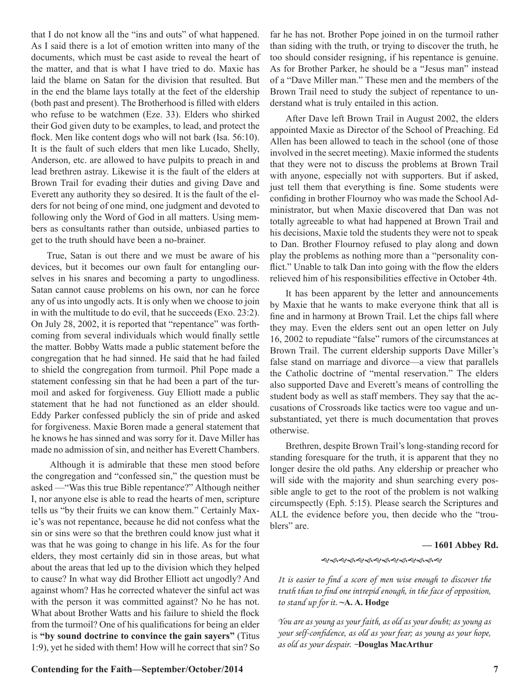that I do not know all the "ins and outs" of what happened. As I said there is a lot of emotion written into many of the documents, which must be cast aside to reveal the heart of the matter, and that is what I have tried to do. Maxie has laid the blame on Satan for the division that resulted. But in the end the blame lays totally at the feet of the eldership (both past and present). The Brotherhood is filled with elders who refuse to be watchmen (Eze. 33). Elders who shirked their God given duty to be examples, to lead, and protect the flock. Men like content dogs who will not bark (Isa. 56:10). It is the fault of such elders that men like Lucado, Shelly, Anderson, etc. are allowed to have pulpits to preach in and lead brethren astray. Likewise it is the fault of the elders at Brown Trail for evading their duties and giving Dave and Everett any authority they so desired. It is the fault of the elders for not being of one mind, one judgment and devoted to following only the Word of God in all matters. Using members as consultants rather than outside, unbiased parties to get to the truth should have been a no-brainer.

True, Satan is out there and we must be aware of his devices, but it becomes our own fault for entangling ourselves in his snares and becoming a party to ungodliness. Satan cannot cause problems on his own, nor can he force any of us into ungodly acts. It is only when we choose to join in with the multitude to do evil, that he succeeds (Exo. 23:2). On July 28, 2002, it is reported that "repentance" was forthcoming from several individuals which would finally settle the matter. Bobby Watts made a public statement before the congregation that he had sinned. He said that he had failed to shield the congregation from turmoil. Phil Pope made a statement confessing sin that he had been a part of the turmoil and asked for forgiveness. Guy Elliott made a public statement that he had not functioned as an elder should. Eddy Parker confessed publicly the sin of pride and asked for forgiveness. Maxie Boren made a general statement that he knows he has sinned and was sorry for it. Dave Miller has made no admission of sin, and neither has Everett Chambers.

 Although it is admirable that these men stood before the congregation and "confessed sin," the question must be asked —"Was this true Bible repentance?" Although neither I, nor anyone else is able to read the hearts of men, scripture tells us "by their fruits we can know them." Certainly Maxie's was not repentance, because he did not confess what the sin or sins were so that the brethren could know just what it was that he was going to change in his life. As for the four elders, they most certainly did sin in those areas, but what about the areas that led up to the division which they helped to cause? In what way did Brother Elliott act ungodly? And against whom? Has he corrected whatever the sinful act was with the person it was committed against? No he has not. What about Brother Watts and his failure to shield the flock from the turmoil? One of his qualifications for being an elder is **"by sound doctrine to convince the gain sayers"** (Titus 1:9), yet he sided with them! How will he correct that sin? So far he has not. Brother Pope joined in on the turmoil rather than siding with the truth, or trying to discover the truth, he too should consider resigning, if his repentance is genuine. As for Brother Parker, he should be a "Jesus man" instead of a "Dave Miller man." These men and the members of the Brown Trail need to study the subject of repentance to understand what is truly entailed in this action.

After Dave left Brown Trail in August 2002, the elders appointed Maxie as Director of the School of Preaching. Ed Allen has been allowed to teach in the school (one of those involved in the secret meeting). Maxie informed the students that they were not to discuss the problems at Brown Trail with anyone, especially not with supporters. But if asked, just tell them that everything is fine. Some students were confiding in brother Flournoy who was made the School Administrator, but when Maxie discovered that Dan was not totally agreeable to what had happened at Brown Trail and his decisions, Maxie told the students they were not to speak to Dan. Brother Flournoy refused to play along and down play the problems as nothing more than a "personality conflict." Unable to talk Dan into going with the flow the elders relieved him of his responsibilities effective in October 4th.

It has been apparent by the letter and announcements by Maxie that he wants to make everyone think that all is fine and in harmony at Brown Trail. Let the chips fall where they may. Even the elders sent out an open letter on July 16, 2002 to repudiate "false" rumors of the circumstances at Brown Trail. The current eldership supports Dave Miller's false stand on marriage and divorce—a view that parallels the Catholic doctrine of "mental reservation." The elders also supported Dave and Everett's means of controlling the student body as well as staff members. They say that the accusations of Crossroads like tactics were too vague and unsubstantiated, yet there is much documentation that proves otherwise.

Brethren, despite Brown Trail's long-standing record for standing foresquare for the truth, it is apparent that they no longer desire the old paths. Any eldership or preacher who will side with the majority and shun searching every possible angle to get to the root of the problem is not walking circumspectly (Eph. 5:15). Please search the Scriptures and ALL the evidence before you, then decide who the "troublers" are.

#### **— 1601 Abbey Rd.**

#### *��ଈ�ଈ�ଈ�ଈ*୫୫୫୫୫୫

*It is easier to find a score of men wise enough to discover the truth than to find one intrepid enough, in the face of opposition, to stand up for it.* **~A. A. Hodge**

*You are as young as your faith, as old as your doubt; as young as your self-confidence, as old as your fear; as young as your hope, as old as your despair. ~***Douglas MacArthur**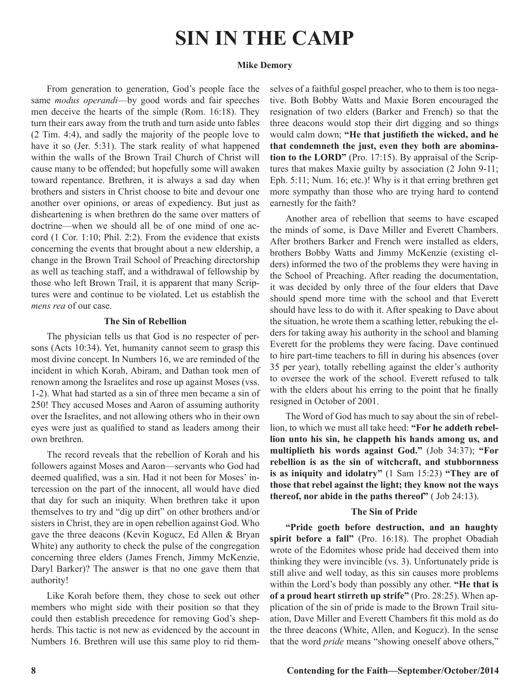## **SIN IN THE CAMP**

#### **Mike Demory**

From generation to generation, God's people face the same *modus operandi*—by good words and fair speeches men deceive the hearts of the simple (Rom. 16:18). They turn their ears away from the truth and turn aside unto fables (2 Tim. 4:4), and sadly the majority of the people love to have it so (Jer. 5:31). The stark reality of what happened within the walls of the Brown Trail Church of Christ will cause many to be offended; but hopefully some will awaken toward repentance. Brethren, it is always a sad day when brothers and sisters in Christ choose to bite and devour one another over opinions, or areas of expediency. But just as disheartening is when brethren do the same over matters of doctrine—when we should all be of one mind of one accord (1 Cor. 1:10; Phil. 2:2). From the evidence that exists concerning the events that brought about a new eldership, a change in the Brown Trail School of Preaching directorship as well as teaching staff, and a withdrawal of fellowship by those who left Brown Trail, it is apparent that many Scriptures were and continue to be violated. Let us establish the *mens rea* of our case.

#### **The Sin of Rebellion**

The physician tells us that God is no respecter of persons (Acts 10:34). Yet, humanity cannot seem to grasp this most divine concept. In Numbers 16, we are reminded of the incident in which Korah, Abiram, and Dathan took men of renown among the Israelites and rose up against Moses (vss. 1-2). What had started as a sin of three men became a sin of 250! They accused Moses and Aaron of assuming authority over the Israelites, and not allowing others who in their own eyes were just as qualified to stand as leaders among their own brethren.

The record reveals that the rebellion of Korah and his followers against Moses and Aaron—servants who God had deemed qualified, was a sin. Had it not been for Moses' intercession on the part of the innocent, all would have died that day for such an iniquity. When brethren take it upon themselves to try and "dig up dirt" on other brothers and/or sisters in Christ, they are in open rebellion against God. Who gave the three deacons (Kevin Kogucz, Ed Allen & Bryan White) any authority to check the pulse of the congregation concerning three elders (James French, Jimmy McKenzie, Daryl Barker)? The answer is that no one gave them that authority!

Like Korah before them, they chose to seek out other members who might side with their position so that they could then establish precedence for removing God's shepherds. This tactic is not new as evidenced by the account in Numbers 16. Brethren will use this same ploy to rid themselves of a faithful gospel preacher, who to them is too negative. Both Bobby Watts and Maxie Boren encouraged the resignation of two elders (Barker and French) so that the three deacons would stop their dirt digging and so things would calm down; **"He that justifieth the wicked, and he that condemneth the just, even they both are abomination to the LORD"** (Pro. 17:15). By appraisal of the Scriptures that makes Maxie guilty by association (2 John 9-11; Eph. 5:11; Num. 16; etc.)! Why is it that erring brethren get more sympathy than those who are trying hard to contend earnestly for the faith?

Another area of rebellion that seems to have escaped the minds of some, is Dave Miller and Everett Chambers. After brothers Barker and French were installed as elders, brothers Bobby Watts and Jimmy McKenzie (existing elders) informed the two of the problems they were having in the School of Preaching. After reading the documentation, it was decided by only three of the four elders that Dave should spend more time with the school and that Everett should have less to do with it. After speaking to Dave about the situation, he wrote them a scathing letter, rebuking the elders for taking away his authority in the school and blaming Everett for the problems they were facing. Dave continued to hire part-time teachers to fill in during his absences (over 35 per year), totally rebelling against the elder's authority to oversee the work of the school. Everett refused to talk with the elders about his erring to the point that he finally resigned in October of 2001.

The Word of God has much to say about the sin of rebellion, to which we must all take heed: **"For he addeth rebellion unto his sin, he clappeth his hands among us, and multiplieth his words against God."** (Job 34:37); **"For rebellion is as the sin of witchcraft, and stubbornness is as iniquity and idolatry"** (1 Sam 15:23) **"They are of those that rebel against the light; they know not the ways thereof, nor abide in the paths thereof"** ( Job 24:13).

#### **The Sin of Pride**

**"Pride goeth before destruction, and an haughty spirit before a fall"** (Pro. 16:18). The prophet Obadiah wrote of the Edomites whose pride had deceived them into thinking they were invincible (vs. 3). Unfortunately pride is still alive and well today, as this sin causes more problems within the Lord's body than possibly any other. **"He that is of a proud heart stirreth up strife"** (Pro. 28:25). When application of the sin of pride is made to the Brown Trail situation, Dave Miller and Everett Chambers fit this mold as do the three deacons (White, Allen, and Kogucz). In the sense that the word *pride* means "showing oneself above others,"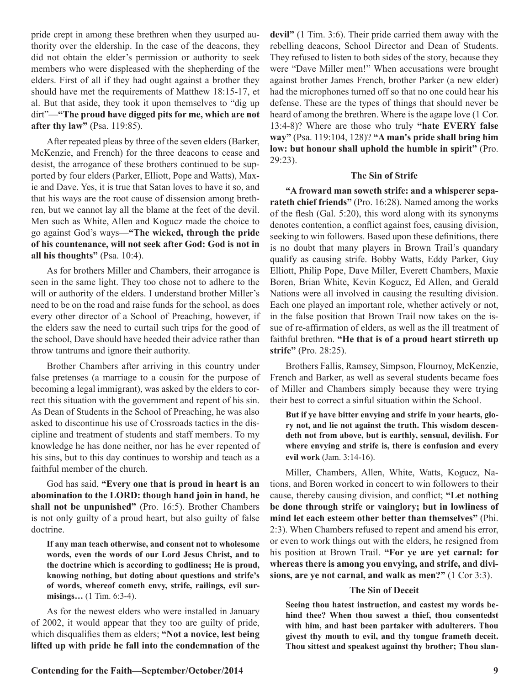pride crept in among these brethren when they usurped authority over the eldership. In the case of the deacons, they did not obtain the elder's permission or authority to seek members who were displeased with the shepherding of the elders. First of all if they had ought against a brother they should have met the requirements of Matthew 18:15-17, et al. But that aside, they took it upon themselves to "dig up dirt"—**"The proud have digged pits for me, which are not after thy law"** (Psa. 119:85).

After repeated pleas by three of the seven elders (Barker, McKenzie, and French) for the three deacons to cease and desist, the arrogance of these brothers continued to be supported by four elders (Parker, Elliott, Pope and Watts), Maxie and Dave. Yes, it is true that Satan loves to have it so, and that his ways are the root cause of dissension among brethren, but we cannot lay all the blame at the feet of the devil. Men such as White, Allen and Kogucz made the choice to go against God's ways—**"The wicked, through the pride of his countenance, will not seek after God: God is not in all his thoughts"** (Psa. 10:4).

As for brothers Miller and Chambers, their arrogance is seen in the same light. They too chose not to adhere to the will or authority of the elders. I understand brother Miller's need to be on the road and raise funds for the school, as does every other director of a School of Preaching, however, if the elders saw the need to curtail such trips for the good of the school, Dave should have heeded their advice rather than throw tantrums and ignore their authority.

Brother Chambers after arriving in this country under false pretenses (a marriage to a cousin for the purpose of becoming a legal immigrant), was asked by the elders to correct this situation with the government and repent of his sin. As Dean of Students in the School of Preaching, he was also asked to discontinue his use of Crossroads tactics in the discipline and treatment of students and staff members. To my knowledge he has done neither, nor has he ever repented of his sins, but to this day continues to worship and teach as a faithful member of the church.

God has said, **"Every one that is proud in heart is an abomination to the LORD: though hand join in hand, he shall not be unpunished"** (Pro. 16:5). Brother Chambers is not only guilty of a proud heart, but also guilty of false doctrine.

**If any man teach otherwise, and consent not to wholesome words, even the words of our Lord Jesus Christ, and to the doctrine which is according to godliness; He is proud, knowing nothing, but doting about questions and strife's of words, whereof cometh envy, strife, railings, evil surmisings…** (1 Tim. 6:3-4).

As for the newest elders who were installed in January of 2002, it would appear that they too are guilty of pride, which disqualifies them as elders; **"Not a novice, lest being lifted up with pride he fall into the condemnation of the**  **devil"** (1 Tim. 3:6). Their pride carried them away with the rebelling deacons, School Director and Dean of Students. They refused to listen to both sides of the story, because they were "Dave Miller men!" When accusations were brought against brother James French, brother Parker (a new elder) had the microphones turned off so that no one could hear his defense. These are the types of things that should never be heard of among the brethren. Where is the agape love (1 Cor. 13:4-8)? Where are those who truly **"hate EVERY false way"** (Psa. 119:104, 128)? **"A man's pride shall bring him low: but honour shall uphold the humble in spirit"** (Pro. 29:23).

#### **The Sin of Strife**

**"A froward man soweth strife: and a whisperer separateth chief friends"** (Pro. 16:28). Named among the works of the flesh (Gal. 5:20), this word along with its synonyms denotes contention, a conflict against foes, causing division, seeking to win followers. Based upon these definitions, there is no doubt that many players in Brown Trail's quandary qualify as causing strife. Bobby Watts, Eddy Parker, Guy Elliott, Philip Pope, Dave Miller, Everett Chambers, Maxie Boren, Brian White, Kevin Kogucz, Ed Allen, and Gerald Nations were all involved in causing the resulting division. Each one played an important role, whether actively or not, in the false position that Brown Trail now takes on the issue of re-affirmation of elders, as well as the ill treatment of faithful brethren. **"He that is of a proud heart stirreth up strife"** (Pro. 28:25).

Brothers Fallis, Ramsey, Simpson, Flournoy, McKenzie, French and Barker, as well as several students became foes of Miller and Chambers simply because they were trying their best to correct a sinful situation within the School.

**But if ye have bitter envying and strife in your hearts, glory not, and lie not against the truth. This wisdom descendeth not from above, but is earthly, sensual, devilish. For where envying and strife is, there is confusion and every evil work** (Jam. 3:14-16).

Miller, Chambers, Allen, White, Watts, Kogucz, Nations, and Boren worked in concert to win followers to their cause, thereby causing division, and conflict; **"Let nothing be done through strife or vainglory; but in lowliness of mind let each esteem other better than themselves"** (Phi. 2:3). When Chambers refused to repent and amend his error, or even to work things out with the elders, he resigned from his position at Brown Trail. **"For ye are yet carnal: for whereas there is among you envying, and strife, and divisions, are ye not carnal, and walk as men?"** (1 Cor 3:3).

#### **The Sin of Deceit**

**Seeing thou hatest instruction, and castest my words behind thee? When thou sawest a thief, thou consentedst with him, and hast been partaker with adulterers. Thou givest thy mouth to evil, and thy tongue frameth deceit. Thou sittest and speakest against thy brother; Thou slan-**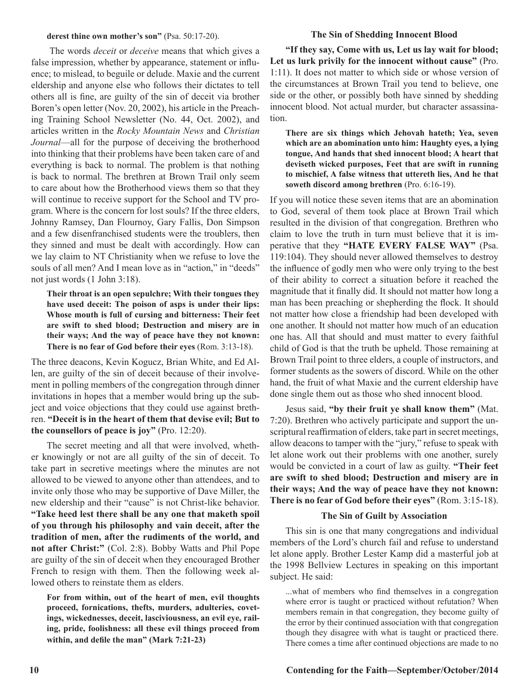#### **derest thine own mother's son"** (Psa. 50:17-20).

 The words *deceit* or *deceive* means that which gives a false impression, whether by appearance, statement or influence; to mislead, to beguile or delude. Maxie and the current eldership and anyone else who follows their dictates to tell others all is fine, are guilty of the sin of deceit via brother Boren's open letter (Nov. 20, 2002), his article in the Preaching Training School Newsletter (No. 44, Oct. 2002), and articles written in the *Rocky Mountain News* and *Christian Journal*—all for the purpose of deceiving the brotherhood into thinking that their problems have been taken care of and everything is back to normal. The problem is that nothing is back to normal. The brethren at Brown Trail only seem to care about how the Brotherhood views them so that they will continue to receive support for the School and TV program. Where is the concern for lost souls? If the three elders, Johnny Ramsey, Dan Flournoy, Gary Fallis, Don Simpson and a few disenfranchised students were the troublers, then they sinned and must be dealt with accordingly. How can we lay claim to NT Christianity when we refuse to love the souls of all men? And I mean love as in "action," in "deeds" not just words (1 John 3:18).

**Their throat is an open sepulchre; With their tongues they have used deceit: The poison of asps is under their lips: Whose mouth is full of cursing and bitterness: Their feet are swift to shed blood; Destruction and misery are in their ways; And the way of peace have they not known: There is no fear of God before their eyes** (Rom. 3:13-18).

The three deacons, Kevin Kogucz, Brian White, and Ed Allen, are guilty of the sin of deceit because of their involvement in polling members of the congregation through dinner invitations in hopes that a member would bring up the subject and voice objections that they could use against brethren. **"Deceit is in the heart of them that devise evil; But to the counsellors of peace is joy"** (Pro. 12:20).

The secret meeting and all that were involved, whether knowingly or not are all guilty of the sin of deceit. To take part in secretive meetings where the minutes are not allowed to be viewed to anyone other than attendees, and to invite only those who may be supportive of Dave Miller, the new eldership and their "cause" is not Christ-like behavior. **"Take heed lest there shall be any one that maketh spoil of you through his philosophy and vain deceit, after the tradition of men, after the rudiments of the world, and not after Christ:"** (Col. 2:8). Bobby Watts and Phil Pope are guilty of the sin of deceit when they encouraged Brother French to resign with them. Then the following week allowed others to reinstate them as elders.

**For from within, out of the heart of men, evil thoughts proceed, fornications, thefts, murders, adulteries, covetings, wickednesses, deceit, lasciviousness, an evil eye, railing, pride, foolishness: all these evil things proceed from within, and defile the man" (Mark 7:21-23)**

#### **The Sin of Shedding Innocent Blood**

**"If they say, Come with us, Let us lay wait for blood; Let us lurk privily for the innocent without cause"** (Pro. 1:11). It does not matter to which side or whose version of the circumstances at Brown Trail you tend to believe, one side or the other, or possibly both have sinned by shedding innocent blood. Not actual murder, but character assassination.

**There are six things which Jehovah hateth; Yea, seven which are an abomination unto him: Haughty eyes, a lying tongue, And hands that shed innocent blood; A heart that deviseth wicked purposes, Feet that are swift in running to mischief, A false witness that uttereth lies, And he that soweth discord among brethren** (Pro. 6:16-19).

If you will notice these seven items that are an abomination to God, several of them took place at Brown Trail which resulted in the division of that congregation. Brethren who claim to love the truth in turn must believe that it is imperative that they **"HATE EVERY FALSE WAY"** (Psa. 119:104). They should never allowed themselves to destroy the influence of godly men who were only trying to the best of their ability to correct a situation before it reached the magnitude that it finally did. It should not matter how long a man has been preaching or shepherding the flock. It should not matter how close a friendship had been developed with one another. It should not matter how much of an education one has. All that should and must matter to every faithful child of God is that the truth be upheld. Those remaining at Brown Trail point to three elders, a couple of instructors, and former students as the sowers of discord. While on the other hand, the fruit of what Maxie and the current eldership have done single them out as those who shed innocent blood.

Jesus said, **"by their fruit ye shall know them"** (Mat. 7:20). Brethren who actively participate and support the unscriptural reaffirmation of elders, take part in secret meetings, allow deacons to tamper with the "jury," refuse to speak with let alone work out their problems with one another, surely would be convicted in a court of law as guilty. **"Their feet are swift to shed blood; Destruction and misery are in their ways; And the way of peace have they not known: There is no fear of God before their eyes"** (Rom. 3:15-18).

#### **The Sin of Guilt by Association**

This sin is one that many congregations and individual members of the Lord's church fail and refuse to understand let alone apply. Brother Lester Kamp did a masterful job at the 1998 Bellview Lectures in speaking on this important subject. He said:

...what of members who find themselves in a congregation where error is taught or practiced without refutation? When members remain in that congregation, they become guilty of the error by their continued association with that congregation though they disagree with what is taught or practiced there. There comes a time after continued objections are made to no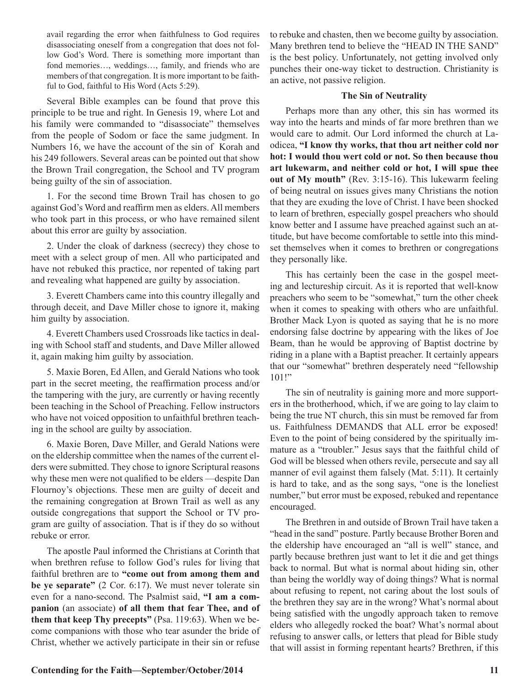avail regarding the error when faithfulness to God requires disassociating oneself from a congregation that does not follow God's Word. There is something more important than fond memories…, weddings…, family, and friends who are members of that congregation. It is more important to be faithful to God, faithful to His Word (Acts 5:29).

Several Bible examples can be found that prove this principle to be true and right. In Genesis 19, where Lot and his family were commanded to "disassociate" themselves from the people of Sodom or face the same judgment. In Numbers 16, we have the account of the sin of Korah and his 249 followers. Several areas can be pointed out that show the Brown Trail congregation, the School and TV program being guilty of the sin of association.

1. For the second time Brown Trail has chosen to go against God's Word and reaffirm men as elders. All members who took part in this process, or who have remained silent about this error are guilty by association.

2. Under the cloak of darkness (secrecy) they chose to meet with a select group of men. All who participated and have not rebuked this practice, nor repented of taking part and revealing what happened are guilty by association.

3. Everett Chambers came into this country illegally and through deceit, and Dave Miller chose to ignore it, making him guilty by association.

4. Everett Chambers used Crossroads like tactics in dealing with School staff and students, and Dave Miller allowed it, again making him guilty by association.

5. Maxie Boren, Ed Allen, and Gerald Nations who took part in the secret meeting, the reaffirmation process and/or the tampering with the jury, are currently or having recently been teaching in the School of Preaching. Fellow instructors who have not voiced opposition to unfaithful brethren teaching in the school are guilty by association.

6. Maxie Boren, Dave Miller, and Gerald Nations were on the eldership committee when the names of the current elders were submitted. They chose to ignore Scriptural reasons why these men were not qualified to be elders —despite Dan Flournoy's objections. These men are guilty of deceit and the remaining congregation at Brown Trail as well as any outside congregations that support the School or TV program are guilty of association. That is if they do so without rebuke or error.

The apostle Paul informed the Christians at Corinth that when brethren refuse to follow God's rules for living that faithful brethren are to **"come out from among them and be ye separate"** (2 Cor. 6:17). We must never tolerate sin even for a nano-second. The Psalmist said, **"I am a companion** (an associate) **of all them that fear Thee, and of them that keep Thy precepts"** (Psa. 119:63). When we become companions with those who tear asunder the bride of Christ, whether we actively participate in their sin or refuse

to rebuke and chasten, then we become guilty by association. Many brethren tend to believe the "HEAD IN THE SAND" is the best policy. Unfortunately, not getting involved only punches their one-way ticket to destruction. Christianity is an active, not passive religion.

#### **The Sin of Neutrality**

Perhaps more than any other, this sin has wormed its way into the hearts and minds of far more brethren than we would care to admit. Our Lord informed the church at Laodicea, **"I know thy works, that thou art neither cold nor hot: I would thou wert cold or not. So then because thou art lukewarm, and neither cold or hot, I will spue thee out of My mouth"** (Rev. 3:15-16). This lukewarm feeling of being neutral on issues gives many Christians the notion that they are exuding the love of Christ. I have been shocked to learn of brethren, especially gospel preachers who should know better and I assume have preached against such an attitude, but have become comfortable to settle into this mindset themselves when it comes to brethren or congregations they personally like.

This has certainly been the case in the gospel meeting and lectureship circuit. As it is reported that well-know preachers who seem to be "somewhat," turn the other cheek when it comes to speaking with others who are unfaithful. Brother Mack Lyon is quoted as saying that he is no more endorsing false doctrine by appearing with the likes of Joe Beam, than he would be approving of Baptist doctrine by riding in a plane with a Baptist preacher. It certainly appears that our "somewhat" brethren desperately need "fellowship 101!"

The sin of neutrality is gaining more and more supporters in the brotherhood, which, if we are going to lay claim to being the true NT church, this sin must be removed far from us. Faithfulness DEMANDS that ALL error be exposed! Even to the point of being considered by the spiritually immature as a "troubler." Jesus says that the faithful child of God will be blessed when others revile, persecute and say all manner of evil against them falsely (Mat. 5:11). It certainly is hard to take, and as the song says, "one is the loneliest number," but error must be exposed, rebuked and repentance encouraged.

The Brethren in and outside of Brown Trail have taken a "head in the sand" posture. Partly because Brother Boren and the eldership have encouraged an "all is well" stance, and partly because brethren just want to let it die and get things back to normal. But what is normal about hiding sin, other than being the worldly way of doing things? What is normal about refusing to repent, not caring about the lost souls of the brethren they say are in the wrong? What's normal about being satisfied with the ungodly approach taken to remove elders who allegedly rocked the boat? What's normal about refusing to answer calls, or letters that plead for Bible study that will assist in forming repentant hearts? Brethren, if this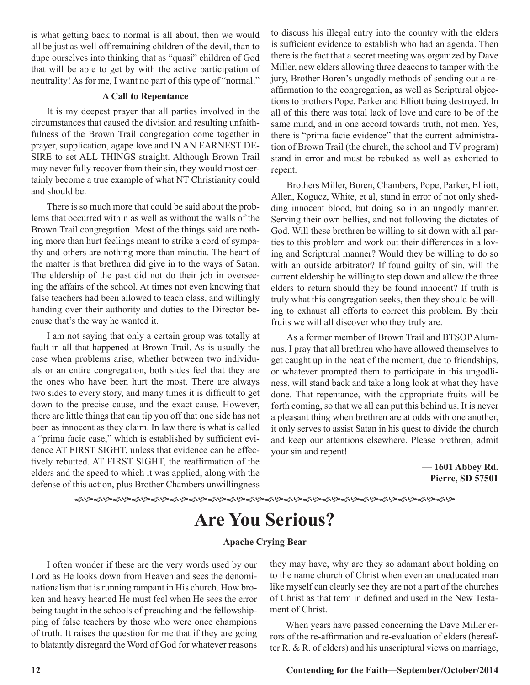is what getting back to normal is all about, then we would all be just as well off remaining children of the devil, than to dupe ourselves into thinking that as "quasi" children of God that will be able to get by with the active participation of neutrality! As for me, I want no part of this type of "normal."

#### **A Call to Repentance**

It is my deepest prayer that all parties involved in the circumstances that caused the division and resulting unfaithfulness of the Brown Trail congregation come together in prayer, supplication, agape love and IN AN EARNEST DE-SIRE to set ALL THINGS straight. Although Brown Trail may never fully recover from their sin, they would most certainly become a true example of what NT Christianity could and should be.

There is so much more that could be said about the problems that occurred within as well as without the walls of the Brown Trail congregation. Most of the things said are nothing more than hurt feelings meant to strike a cord of sympathy and others are nothing more than minutia. The heart of the matter is that brethren did give in to the ways of Satan. The eldership of the past did not do their job in overseeing the affairs of the school. At times not even knowing that false teachers had been allowed to teach class, and willingly handing over their authority and duties to the Director because that's the way he wanted it.

I am not saying that only a certain group was totally at fault in all that happened at Brown Trail. As is usually the case when problems arise, whether between two individuals or an entire congregation, both sides feel that they are the ones who have been hurt the most. There are always two sides to every story, and many times it is difficult to get down to the precise cause, and the exact cause. However, there are little things that can tip you off that one side has not been as innocent as they claim. In law there is what is called a "prima facie case," which is established by sufficient evidence AT FIRST SIGHT, unless that evidence can be effectively rebutted. AT FIRST SIGHT, the reaffirmation of the elders and the speed to which it was applied, along with the defense of this action, plus Brother Chambers unwillingness

to discuss his illegal entry into the country with the elders is sufficient evidence to establish who had an agenda. Then there is the fact that a secret meeting was organized by Dave Miller, new elders allowing three deacons to tamper with the jury, Brother Boren's ungodly methods of sending out a reaffirmation to the congregation, as well as Scriptural objections to brothers Pope, Parker and Elliott being destroyed. In all of this there was total lack of love and care to be of the same mind, and in one accord towards truth, not men. Yes, there is "prima facie evidence" that the current administration of Brown Trail (the church, the school and TV program) stand in error and must be rebuked as well as exhorted to repent.

Brothers Miller, Boren, Chambers, Pope, Parker, Elliott, Allen, Kogucz, White, et al, stand in error of not only shedding innocent blood, but doing so in an ungodly manner. Serving their own bellies, and not following the dictates of God. Will these brethren be willing to sit down with all parties to this problem and work out their differences in a loving and Scriptural manner? Would they be willing to do so with an outside arbitrator? If found guilty of sin, will the current eldership be willing to step down and allow the three elders to return should they be found innocent? If truth is truly what this congregation seeks, then they should be willing to exhaust all efforts to correct this problem. By their fruits we will all discover who they truly are.

As a former member of Brown Trail and BTSOP Alumnus, I pray that all brethren who have allowed themselves to get caught up in the heat of the moment, due to friendships, or whatever prompted them to participate in this ungodliness, will stand back and take a long look at what they have done. That repentance, with the appropriate fruits will be forth coming, so that we all can put this behind us. It is never a pleasant thing when brethren are at odds with one another, it only serves to assist Satan in his quest to divide the church and keep our attentions elsewhere. Please brethren, admit your sin and repent!

> **— 1601 Abbey Rd. Pierre, SD 57501**

fhfhfhfhfhfhfhfhfhfhfhfhfhfhfhfhfhfhfhfh

## **Are You Serious?**

#### **Apache Crying Bear**

I often wonder if these are the very words used by our Lord as He looks down from Heaven and sees the denominationalism that is running rampant in His church. How broken and heavy hearted He must feel when He sees the error being taught in the schools of preaching and the fellowshipping of false teachers by those who were once champions of truth. It raises the question for me that if they are going to blatantly disregard the Word of God for whatever reasons they may have, why are they so adamant about holding on to the name church of Christ when even an uneducated man like myself can clearly see they are not a part of the churches of Christ as that term in defined and used in the New Testament of Christ.

When years have passed concerning the Dave Miller errors of the re-affirmation and re-evaluation of elders (hereafter R. & R. of elders) and his unscriptural views on marriage,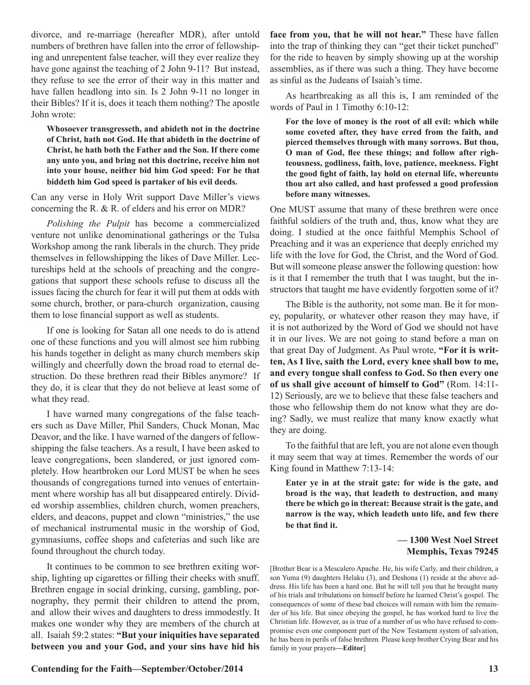divorce, and re-marriage (hereafter MDR), after untold numbers of brethren have fallen into the error of fellowshiping and unrepentent false teacher, will they ever realize they have gone against the teaching of 2 John 9-11? But instead, they refuse to see the error of their way in this matter and have fallen headlong into sin. Is 2 John 9-11 no longer in their Bibles? If it is, does it teach them nothing? The apostle John wrote:

**Whosoever transgresseth, and abideth not in the doctrine of Christ, hath not God. He that abideth in the doctrine of Christ, he hath both the Father and the Son. If there come any unto you, and bring not this doctrine, receive him not into your house, neither bid him God speed: For he that biddeth him God speed is partaker of his evil deeds.**

Can any verse in Holy Writ support Dave Miller's views concerning the R. & R. of elders and his error on MDR?

*Polishing the Pulpit* has become a commercialized venture not unlike denominational gatherings or the Tulsa Workshop among the rank liberals in the church. They pride themselves in fellowshipping the likes of Dave Miller. Lectureships held at the schools of preaching and the congregations that support these schools refuse to discuss all the issues facing the church for fear it will put them at odds with some church, brother, or para-church organization, causing them to lose financial support as well as students.

If one is looking for Satan all one needs to do is attend one of these functions and you will almost see him rubbing his hands together in delight as many church members skip willingly and cheerfully down the broad road to eternal destruction. Do these brethren read their Bibles anymore? If they do, it is clear that they do not believe at least some of what they read.

I have warned many congregations of the false teachers such as Dave Miller, Phil Sanders, Chuck Monan, Mac Deavor, and the like. I have warned of the dangers of fellowshipping the false teachers. As a result, I have been asked to leave congregations, been slandered, or just ignored completely. How heartbroken our Lord MUST be when he sees thousands of congregations turned into venues of entertainment where worship has all but disappeared entirely. Divided worship assemblies, children church, women preachers, elders, and deacons, puppet and clown "ministries," the use of mechanical instrumental music in the worship of God, gymnasiums, coffee shops and cafeterias and such like are found throughout the church today.

It continues to be common to see brethren exiting worship, lighting up cigarettes or filling their cheeks with snuff. Brethren engage in social drinking, cursing, gambling, pornography, they permit their children to attend the prom, and allow their wives and daughters to dress immodestly. It makes one wonder why they are members of the church at all. Isaiah 59:2 states: **"But your iniquities have separated between you and your God, and your sins have hid his** 

**face from you, that he will not hear."** These have fallen into the trap of thinking they can "get their ticket punched" for the ride to heaven by simply showing up at the worship assemblies, as if there was such a thing. They have become as sinful as the Judeans of Isaiah's time.

As heartbreaking as all this is, I am reminded of the words of Paul in 1 Timothy 6:10-12:

**For the love of money is the root of all evil: which while some coveted after, they have erred from the faith, and pierced themselves through with many sorrows. But thou, O man of God, flee these things; and follow after righteousness, godliness, faith, love, patience, meekness. Fight the good fight of faith, lay hold on eternal life, whereunto thou art also called, and hast professed a good profession before many witnesses.**

One MUST assume that many of these brethren were once faithful soldiers of the truth and, thus, know what they are doing. I studied at the once faithful Memphis School of Preaching and it was an experience that deeply enriched my life with the love for God, the Christ, and the Word of God. But will someone please answer the following question: how is it that I remember the truth that I was taught, but the instructors that taught me have evidently forgotten some of it?

The Bible is the authority, not some man. Be it for money, popularity, or whatever other reason they may have, if it is not authorized by the Word of God we should not have it in our lives. We are not going to stand before a man on that great Day of Judgment. As Paul wrote, **"For it is written, As I live, saith the Lord, every knee shall bow to me, and every tongue shall confess to God. So then every one of us shall give account of himself to God"** (Rom. 14:11- 12) Seriously, are we to believe that these false teachers and those who fellowship them do not know what they are doing? Sadly, we must realize that many know exactly what they are doing.

To the faithful that are left, you are not alone even though it may seem that way at times. Remember the words of our King found in Matthew 7:13-14:

**Enter ye in at the strait gate: for wide is the gate, and broad is the way, that leadeth to destruction, and many there be which go in thereat: Because strait is the gate, and narrow is the way, which leadeth unto life, and few there be that find it.**

#### **— 1300 West Noel Street Memphis, Texas 79245**

[Brother Bear is a Mescalero Apache. He, his wife Carly, and their children, a son Yuma (9) daughters Helaku (3), and Deshona (1) reside at the above address. His life has been a hard one. But he will tell you that he brought many of his trials and tribulations on himself before he learned Christ's gospel. The consequences of some of these bad choices will remain with him the remainder of his life. But since obeying the gospel, he has worked hard to live the Christian life. However, as is true of a number of us who have refused to compromise even one component part of the New Testament system of salvation, he has been in perils of false brethren. Please keep brother Crying Bear and his family in your prayers**—Editor**]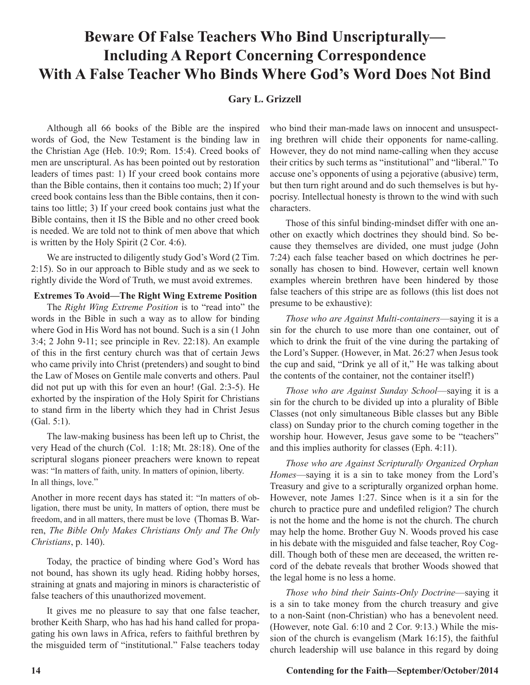## **Beware Of False Teachers Who Bind Unscripturally— Including A Report Concerning Correspondence With A False Teacher Who Binds Where God's Word Does Not Bind**

#### **Gary L. Grizzell**

Although all 66 books of the Bible are the inspired words of God, the New Testament is the binding law in the Christian Age (Heb. 10:9; Rom. 15:4). Creed books of men are unscriptural. As has been pointed out by restoration leaders of times past: 1) If your creed book contains more than the Bible contains, then it contains too much; 2) If your creed book contains less than the Bible contains, then it contains too little; 3) If your creed book contains just what the Bible contains, then it IS the Bible and no other creed book is needed. We are told not to think of men above that which is written by the Holy Spirit (2 Cor. 4:6).

We are instructed to diligently study God's Word (2 Tim. 2:15). So in our approach to Bible study and as we seek to rightly divide the Word of Truth, we must avoid extremes.

#### **Extremes To Avoid—The Right Wing Extreme Position**

The *Right Wing Extreme Position* is to "read into" the words in the Bible in such a way as to allow for binding where God in His Word has not bound. Such is a sin (1 John 3:4; 2 John 9-11; see principle in Rev. 22:18). An example of this in the first century church was that of certain Jews who came privily into Christ (pretenders) and sought to bind the Law of Moses on Gentile male converts and others. Paul did not put up with this for even an hour! (Gal. 2:3-5). He exhorted by the inspiration of the Holy Spirit for Christians to stand firm in the liberty which they had in Christ Jesus (Gal. 5:1).

The law-making business has been left up to Christ, the very Head of the church (Col. 1:18; Mt. 28:18). One of the scriptural slogans pioneer preachers were known to repeat was: "In matters of faith, unity. In matters of opinion, liberty. In all things, love."

Another in more recent days has stated it: "In matters of obligation, there must be unity, In matters of option, there must be freedom, and in all matters, there must be love (Thomas B. Warren, *The Bible Only Makes Christians Only and The Only Christians*, p. 140).

Today, the practice of binding where God's Word has not bound, has shown its ugly head. Riding hobby horses, straining at gnats and majoring in minors is characteristic of false teachers of this unauthorized movement.

It gives me no pleasure to say that one false teacher, brother Keith Sharp, who has had his hand called for propagating his own laws in Africa, refers to faithful brethren by the misguided term of "institutional." False teachers today who bind their man-made laws on innocent and unsuspecting brethren will chide their opponents for name-calling. However, they do not mind name-calling when they accuse their critics by such terms as "institutional" and "liberal." To accuse one's opponents of using a pejorative (abusive) term, but then turn right around and do such themselves is but hypocrisy. Intellectual honesty is thrown to the wind with such characters.

Those of this sinful binding-mindset differ with one another on exactly which doctrines they should bind. So because they themselves are divided, one must judge (John 7:24) each false teacher based on which doctrines he personally has chosen to bind. However, certain well known examples wherein brethren have been hindered by those false teachers of this stripe are as follows (this list does not presume to be exhaustive):

*Those who are Against Multi-containers*—saying it is a sin for the church to use more than one container, out of which to drink the fruit of the vine during the partaking of the Lord's Supper. (However, in Mat. 26:27 when Jesus took the cup and said, "Drink ye all of it," He was talking about the contents of the container, not the container itself!)

*Those who are Against Sunday School*—saying it is a sin for the church to be divided up into a plurality of Bible Classes (not only simultaneous Bible classes but any Bible class) on Sunday prior to the church coming together in the worship hour. However, Jesus gave some to be "teachers" and this implies authority for classes (Eph. 4:11).

*Those who are Against Scripturally Organized Orphan Homes*—saying it is a sin to take money from the Lord's Treasury and give to a scripturally organized orphan home. However, note James 1:27. Since when is it a sin for the church to practice pure and undefiled religion? The church is not the home and the home is not the church. The church may help the home. Brother Guy N. Woods proved his case in his debate with the misguided and false teacher, Roy Cogdill. Though both of these men are deceased, the written record of the debate reveals that brother Woods showed that the legal home is no less a home.

*Those who bind their Saints-Only Doctrine*—saying it is a sin to take money from the church treasury and give to a non-Saint (non-Christian) who has a benevolent need. (However, note Gal. 6:10 and 2 Cor. 9:13.) While the mission of the church is evangelism (Mark 16:15), the faithful church leadership will use balance in this regard by doing

#### **14 Contending for the Faith—September/October/2014**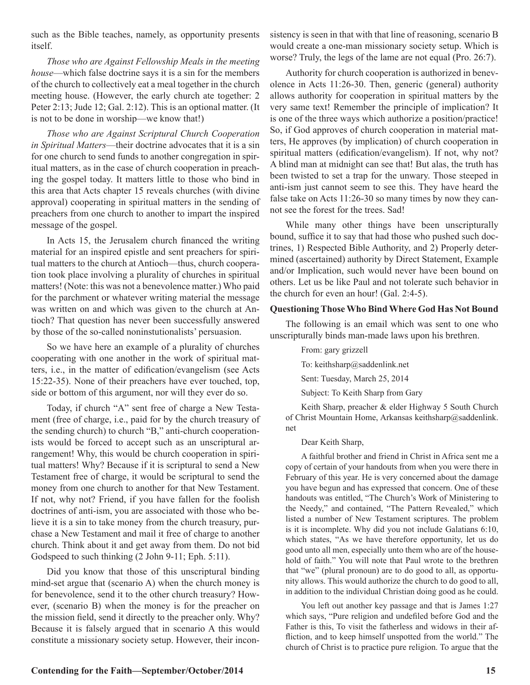such as the Bible teaches, namely, as opportunity presents itself.

*Those who are Against Fellowship Meals in the meeting house*—which false doctrine says it is a sin for the members of the church to collectively eat a meal together in the church meeting house. (However, the early church ate together: 2 Peter 2:13; Jude 12; Gal. 2:12). This is an optional matter. (It is not to be done in worship—we know that!)

*Those who are Against Scriptural Church Cooperation in Spiritual Matters*—their doctrine advocates that it is a sin for one church to send funds to another congregation in spiritual matters, as in the case of church cooperation in preaching the gospel today. It matters little to those who bind in this area that Acts chapter 15 reveals churches (with divine approval) cooperating in spiritual matters in the sending of preachers from one church to another to impart the inspired message of the gospel.

In Acts 15, the Jerusalem church financed the writing material for an inspired epistle and sent preachers for spiritual matters to the church at Antioch—thus, church cooperation took place involving a plurality of churches in spiritual matters! (Note: this was not a benevolence matter.) Who paid for the parchment or whatever writing material the message was written on and which was given to the church at Antioch? That question has never been successfully answered by those of the so-called noninstutionalists' persuasion.

So we have here an example of a plurality of churches cooperating with one another in the work of spiritual matters, i.e., in the matter of edification/evangelism (see Acts 15:22-35). None of their preachers have ever touched, top, side or bottom of this argument, nor will they ever do so.

Today, if church "A" sent free of charge a New Testament (free of charge, i.e., paid for by the church treasury of the sending church) to church "B," anti-church cooperationists would be forced to accept such as an unscriptural arrangement! Why, this would be church cooperation in spiritual matters! Why? Because if it is scriptural to send a New Testament free of charge, it would be scriptural to send the money from one church to another for that New Testament. If not, why not? Friend, if you have fallen for the foolish doctrines of anti-ism, you are associated with those who believe it is a sin to take money from the church treasury, purchase a New Testament and mail it free of charge to another church. Think about it and get away from them. Do not bid Godspeed to such thinking (2 John 9-11; Eph. 5:11).

Did you know that those of this unscriptural binding mind-set argue that (scenario A) when the church money is for benevolence, send it to the other church treasury? However, (scenario B) when the money is for the preacher on the mission field, send it directly to the preacher only. Why? Because it is falsely argued that in scenario A this would constitute a missionary society setup. However, their inconsistency is seen in that with that line of reasoning, scenario B would create a one-man missionary society setup. Which is worse? Truly, the legs of the lame are not equal (Pro. 26:7).

Authority for church cooperation is authorized in benevolence in Acts 11:26-30. Then, generic (general) authority allows authority for cooperation in spiritual matters by the very same text! Remember the principle of implication? It is one of the three ways which authorize a position/practice! So, if God approves of church cooperation in material matters, He approves (by implication) of church cooperation in spiritual matters (edification/evangelism). If not, why not? A blind man at midnight can see that! But alas, the truth has been twisted to set a trap for the unwary. Those steeped in anti-ism just cannot seem to see this. They have heard the false take on Acts 11:26-30 so many times by now they cannot see the forest for the trees. Sad!

While many other things have been unscripturally bound, suffice it to say that had those who pushed such doctrines, 1) Respected Bible Authority, and 2) Properly determined (ascertained) authority by Direct Statement, Example and/or Implication, such would never have been bound on others. Let us be like Paul and not tolerate such behavior in the church for even an hour! (Gal. 2:4-5).

#### **Questioning Those Who Bind Where God Has Not Bound**

The following is an email which was sent to one who unscripturally binds man-made laws upon his brethren.

> From: gary grizzell To: keithsharp@saddenlink.net

> Sent: Tuesday, March 25, 2014

Subject: To Keith Sharp from Gary

Keith Sharp, preacher & elder Highway 5 South Church of Christ Mountain Home, Arkansas keithsharp@saddenlink. net

Dear Keith Sharp,

A faithful brother and friend in Christ in Africa sent me a copy of certain of your handouts from when you were there in February of this year. He is very concerned about the damage you have begun and has expressed that concern. One of these handouts was entitled, "The Church's Work of Ministering to the Needy," and contained, "The Pattern Revealed," which listed a number of New Testament scriptures. The problem is it is incomplete. Why did you not include Galatians 6:10, which states, "As we have therefore opportunity, let us do good unto all men, especially unto them who are of the household of faith." You will note that Paul wrote to the brethren that "we" (plural pronoun) are to do good to all, as opportunity allows. This would authorize the church to do good to all, in addition to the individual Christian doing good as he could.

You left out another key passage and that is James 1:27 which says, "Pure religion and undefiled before God and the Father is this, To visit the fatherless and widows in their affliction, and to keep himself unspotted from the world." The church of Christ is to practice pure religion. To argue that the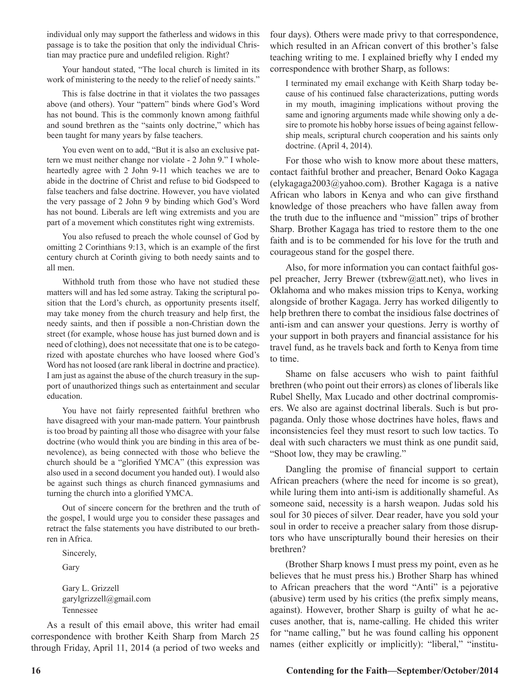individual only may support the fatherless and widows in this passage is to take the position that only the individual Christian may practice pure and undefiled religion. Right?

Your handout stated, "The local church is limited in its work of ministering to the needy to the relief of needy saints."

This is false doctrine in that it violates the two passages above (and others). Your "pattern" binds where God's Word has not bound. This is the commonly known among faithful and sound brethren as the "saints only doctrine," which has been taught for many years by false teachers.

You even went on to add, "But it is also an exclusive pattern we must neither change nor violate - 2 John 9." I wholeheartedly agree with 2 John 9-11 which teaches we are to abide in the doctrine of Christ and refuse to bid Godspeed to false teachers and false doctrine. However, you have violated the very passage of 2 John 9 by binding which God's Word has not bound. Liberals are left wing extremists and you are part of a movement which constitutes right wing extremists.

You also refused to preach the whole counsel of God by omitting 2 Corinthians 9:13, which is an example of the first century church at Corinth giving to both needy saints and to all men.

Withhold truth from those who have not studied these matters will and has led some astray. Taking the scriptural position that the Lord's church, as opportunity presents itself, may take money from the church treasury and help first, the needy saints, and then if possible a non-Christian down the street (for example, whose house has just burned down and is need of clothing), does not necessitate that one is to be categorized with apostate churches who have loosed where God's Word has not loosed (are rank liberal in doctrine and practice). I am just as against the abuse of the church treasury in the support of unauthorized things such as entertainment and secular education.

You have not fairly represented faithful brethren who have disagreed with your man-made pattern. Your paintbrush is too broad by painting all those who disagree with your false doctrine (who would think you are binding in this area of benevolence), as being connected with those who believe the church should be a "glorified YMCA" (this expression was also used in a second document you handed out). I would also be against such things as church financed gymnasiums and turning the church into a glorified YMCA.

Out of sincere concern for the brethren and the truth of the gospel, I would urge you to consider these passages and retract the false statements you have distributed to our brethren in Africa.

Sincerely,

Gary

Gary L. Grizzell garylgrizzell@gmail.com Tennessee

As a result of this email above, this writer had email correspondence with brother Keith Sharp from March 25 through Friday, April 11, 2014 (a period of two weeks and four days). Others were made privy to that correspondence, which resulted in an African convert of this brother's false teaching writing to me. I explained briefly why I ended my correspondence with brother Sharp, as follows:

I terminated my email exchange with Keith Sharp today because of his continued false characterizations, putting words in my mouth, imagining implications without proving the same and ignoring arguments made while showing only a desire to promote his hobby horse issues of being against fellowship meals, scriptural church cooperation and his saints only doctrine. (April 4, 2014).

For those who wish to know more about these matters, contact faithful brother and preacher, Benard Ooko Kagaga (elykagaga2003@yahoo.com). Brother Kagaga is a native African who labors in Kenya and who can give firsthand knowledge of those preachers who have fallen away from the truth due to the influence and "mission" trips of brother Sharp. Brother Kagaga has tried to restore them to the one faith and is to be commended for his love for the truth and courageous stand for the gospel there.

Also, for more information you can contact faithful gospel preacher, Jerry Brewer (txbrew@att.net), who lives in Oklahoma and who makes mission trips to Kenya, working alongside of brother Kagaga. Jerry has worked diligently to help brethren there to combat the insidious false doctrines of anti-ism and can answer your questions. Jerry is worthy of your support in both prayers and financial assistance for his travel fund, as he travels back and forth to Kenya from time to time.

Shame on false accusers who wish to paint faithful brethren (who point out their errors) as clones of liberals like Rubel Shelly, Max Lucado and other doctrinal compromisers. We also are against doctrinal liberals. Such is but propaganda. Only those whose doctrines have holes, flaws and inconsistencies feel they must resort to such low tactics. To deal with such characters we must think as one pundit said, "Shoot low, they may be crawling."

Dangling the promise of financial support to certain African preachers (where the need for income is so great), while luring them into anti-ism is additionally shameful. As someone said, necessity is a harsh weapon. Judas sold his soul for 30 pieces of silver. Dear reader, have you sold your soul in order to receive a preacher salary from those disruptors who have unscripturally bound their heresies on their brethren?

(Brother Sharp knows I must press my point, even as he believes that he must press his.) Brother Sharp has whined to African preachers that the word "Anti" is a pejorative (abusive) term used by his critics (the prefix simply means, against). However, brother Sharp is guilty of what he accuses another, that is, name-calling. He chided this writer for "name calling," but he was found calling his opponent names (either explicitly or implicitly): "liberal," "institu-

#### **16 Contending for the Faith—September/October/2014**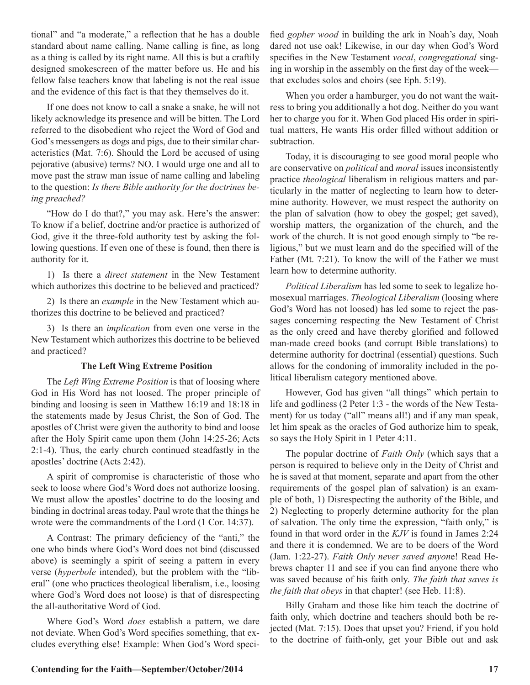tional" and "a moderate," a reflection that he has a double standard about name calling. Name calling is fine, as long as a thing is called by its right name. All this is but a craftily designed smokescreen of the matter before us. He and his fellow false teachers know that labeling is not the real issue and the evidence of this fact is that they themselves do it.

If one does not know to call a snake a snake, he will not likely acknowledge its presence and will be bitten. The Lord referred to the disobedient who reject the Word of God and God's messengers as dogs and pigs, due to their similar characteristics (Mat. 7:6). Should the Lord be accused of using pejorative (abusive) terms? NO. I would urge one and all to move past the straw man issue of name calling and labeling to the question: *Is there Bible authority for the doctrines being preached?*

"How do I do that?," you may ask. Here's the answer: To know if a belief, doctrine and/or practice is authorized of God, give it the three-fold authority test by asking the following questions. If even one of these is found, then there is authority for it.

1) Is there a *direct statement* in the New Testament which authorizes this doctrine to be believed and practiced?

2) Is there an *example* in the New Testament which authorizes this doctrine to be believed and practiced?

3) Is there an *implication* from even one verse in the New Testament which authorizes this doctrine to be believed and practiced?

#### **The Left Wing Extreme Position**

The *Left Wing Extreme Position* is that of loosing where God in His Word has not loosed. The proper principle of binding and loosing is seen in Matthew 16:19 and 18:18 in the statements made by Jesus Christ, the Son of God. The apostles of Christ were given the authority to bind and loose after the Holy Spirit came upon them (John 14:25-26; Acts 2:1-4). Thus, the early church continued steadfastly in the apostles' doctrine (Acts 2:42).

A spirit of compromise is characteristic of those who seek to loose where God's Word does not authorize loosing. We must allow the apostles' doctrine to do the loosing and binding in doctrinal areas today. Paul wrote that the things he wrote were the commandments of the Lord (1 Cor. 14:37).

A Contrast: The primary deficiency of the "anti," the one who binds where God's Word does not bind (discussed above) is seemingly a spirit of seeing a pattern in every verse (*hyperbole* intended), but the problem with the "liberal" (one who practices theological liberalism, i.e., loosing where God's Word does not loose) is that of disrespecting the all-authoritative Word of God.

Where God's Word *does* establish a pattern, we dare not deviate. When God's Word specifies something, that excludes everything else! Example: When God's Word specified *gopher wood* in building the ark in Noah's day, Noah dared not use oak! Likewise, in our day when God's Word specifies in the New Testament *vocal*, *congregational* singing in worship in the assembly on the first day of the week that excludes solos and choirs (see Eph. 5:19).

When you order a hamburger, you do not want the waitress to bring you additionally a hot dog. Neither do you want her to charge you for it. When God placed His order in spiritual matters, He wants His order filled without addition or subtraction.

Today, it is discouraging to see good moral people who are conservative on *political* and *moral* issues inconsistently practice *theological* liberalism in religious matters and particularly in the matter of neglecting to learn how to determine authority. However, we must respect the authority on the plan of salvation (how to obey the gospel; get saved), worship matters, the organization of the church, and the work of the church. It is not good enough simply to "be religious," but we must learn and do the specified will of the Father (Mt. 7:21). To know the will of the Father we must learn how to determine authority.

*Political Liberalism* has led some to seek to legalize homosexual marriages. *Theological Liberalism* (loosing where God's Word has not loosed) has led some to reject the passages concerning respecting the New Testament of Christ as the only creed and have thereby glorified and followed man-made creed books (and corrupt Bible translations) to determine authority for doctrinal (essential) questions. Such allows for the condoning of immorality included in the political liberalism category mentioned above.

However, God has given "all things" which pertain to life and godliness (2 Peter 1:3 - the words of the New Testament) for us today ("all" means all!) and if any man speak, let him speak as the oracles of God authorize him to speak, so says the Holy Spirit in 1 Peter 4:11.

The popular doctrine of *Faith Only* (which says that a person is required to believe only in the Deity of Christ and he is saved at that moment, separate and apart from the other requirements of the gospel plan of salvation) is an example of both, 1) Disrespecting the authority of the Bible, and 2) Neglecting to properly determine authority for the plan of salvation. The only time the expression, "faith only," is found in that word order in the *KJV* is found in James 2:24 and there it is condemned. We are to be doers of the Word (Jam. 1:22-27). *Faith Only never saved anyon*e! Read Hebrews chapter 11 and see if you can find anyone there who was saved because of his faith only. *The faith that saves is the faith that obeys* in that chapter! (see Heb. 11:8).

Billy Graham and those like him teach the doctrine of faith only, which doctrine and teachers should both be rejected (Mat. 7:15). Does that upset you? Friend, if you hold to the doctrine of faith-only, get your Bible out and ask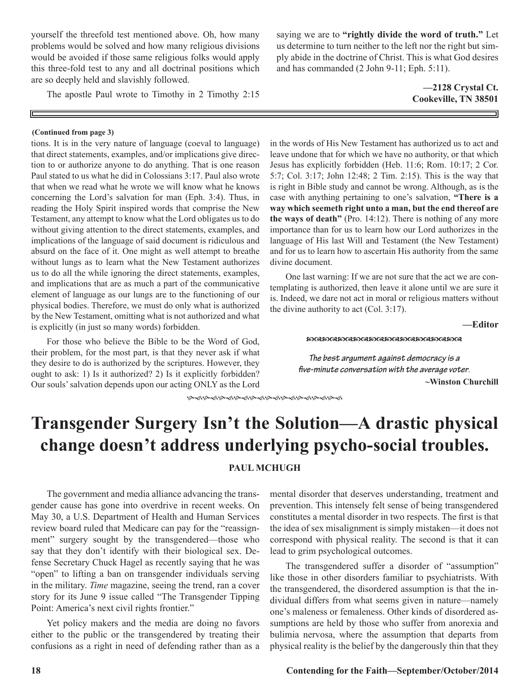yourself the threefold test mentioned above. Oh, how many problems would be solved and how many religious divisions would be avoided if those same religious folks would apply this three-fold test to any and all doctrinal positions which are so deeply held and slavishly followed.

The apostle Paul wrote to Timothy in 2 Timothy 2:15

**(Continued from page 3)**

tions. It is in the very nature of language (coeval to language) that direct statements, examples, and/or implications give direction to or authorize anyone to do anything. That is one reason Paul stated to us what he did in Colossians 3:17. Paul also wrote that when we read what he wrote we will know what he knows concerning the Lord's salvation for man (Eph. 3:4). Thus, in reading the Holy Spirit inspired words that comprise the New Testament, any attempt to know what the Lord obligates us to do without giving attention to the direct statements, examples, and implications of the language of said document is ridiculous and absurd on the face of it. One might as well attempt to breathe without lungs as to learn what the New Testament authorizes us to do all the while ignoring the direct statements, examples, and implications that are as much a part of the communicative element of language as our lungs are to the functioning of our physical bodies. Therefore, we must do only what is authorized by the New Testament, omitting what is not authorized and what is explicitly (in just so many words) forbidden.

For those who believe the Bible to be the Word of God, their problem, for the most part, is that they never ask if what they desire to do is authorized by the scriptures. However, they ought to ask: 1) Is it authorized? 2) Is it explicitly forbidden? Our souls' salvation depends upon our acting ONLY as the Lord

saying we are to **"rightly divide the word of truth."** Let us determine to turn neither to the left nor the right but simply abide in the doctrine of Christ. This is what God desires and has commanded (2 John 9-11; Eph. 5:11).

> **—2128 Crystal Ct. Cookeville, TN 38501**

in the words of His New Testament has authorized us to act and leave undone that for which we have no authority, or that which Jesus has explicitly forbidden (Heb. 11:6; Rom. 10:17; 2 Cor. 5:7; Col. 3:17; John 12:48; 2 Tim. 2:15). This is the way that is right in Bible study and cannot be wrong. Although, as is the case with anything pertaining to one's salvation, **"There is a way which seemeth right unto a man, but the end thereof are the ways of death"** (Pro. 14:12). There is nothing of any more importance than for us to learn how our Lord authorizes in the language of His last Will and Testament (the New Testament) and for us to learn how to ascertain His authority from the same divine document.

One last warning: If we are not sure that the act we are contemplating is authorized, then leave it alone until we are sure it is. Indeed, we dare not act in moral or religious matters without the divine authority to act (Col. 3:17).

**—Editor**

#### សាលនាកាលនិងបានស្រុកនិងបានស្រុកនិងបាន

*The best argument against democracy is a five-minute conversation with the average voter*. **~Winston Churchill**

hfhfhfhfhfhfhfhfhfhf

## **Transgender Surgery Isn't the Solution—A drastic physical change doesn't address underlying psycho-social troubles.**

#### **PAUL MCHUGH**

The government and media alliance advancing the transgender cause has gone into overdrive in recent weeks. On May 30, a U.S. Department of Health and Human Services review board ruled that Medicare can pay for the "reassignment" surgery sought by the transgendered—those who say that they don't identify with their biological sex. Defense Secretary Chuck Hagel as recently saying that he was "open" to lifting a ban on transgender individuals serving in the military. *Time* magazine, seeing the trend, ran a cover story for its June 9 issue called "The Transgender Tipping Point: America's next civil rights frontier."

Yet policy makers and the media are doing no favors either to the public or the transgendered by treating their confusions as a right in need of defending rather than as a

mental disorder that deserves understanding, treatment and prevention. This intensely felt sense of being transgendered constitutes a mental disorder in two respects. The first is that the idea of sex misalignment is simply mistaken—it does not correspond with physical reality. The second is that it can lead to grim psychological outcomes.

The transgendered suffer a disorder of "assumption" like those in other disorders familiar to psychiatrists. With the transgendered, the disordered assumption is that the individual differs from what seems given in nature—namely one's maleness or femaleness. Other kinds of disordered assumptions are held by those who suffer from anorexia and bulimia nervosa, where the assumption that departs from physical reality is the belief by the dangerously thin that they

#### **18 Contending for the Faith—September/October/2014**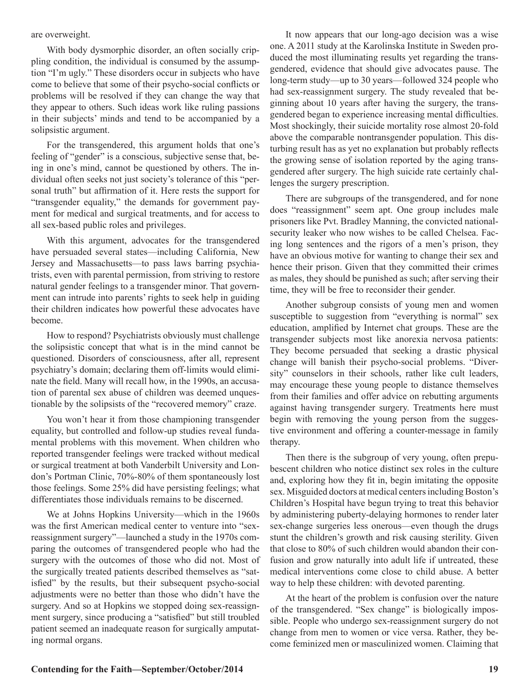are overweight.

With body dysmorphic disorder, an often socially crippling condition, the individual is consumed by the assumption "I'm ugly." These disorders occur in subjects who have come to believe that some of their psycho-social conflicts or problems will be resolved if they can change the way that they appear to others. Such ideas work like ruling passions in their subjects' minds and tend to be accompanied by a solipsistic argument.

For the transgendered, this argument holds that one's feeling of "gender" is a conscious, subjective sense that, being in one's mind, cannot be questioned by others. The individual often seeks not just society's tolerance of this "personal truth" but affirmation of it. Here rests the support for "transgender equality," the demands for government payment for medical and surgical treatments, and for access to all sex-based public roles and privileges.

With this argument, advocates for the transgendered have persuaded several states—including California, New Jersey and Massachusetts—to pass laws barring psychiatrists, even with parental permission, from striving to restore natural gender feelings to a transgender minor. That government can intrude into parents' rights to seek help in guiding their children indicates how powerful these advocates have become.

How to respond? Psychiatrists obviously must challenge the solipsistic concept that what is in the mind cannot be questioned. Disorders of consciousness, after all, represent psychiatry's domain; declaring them off-limits would eliminate the field. Many will recall how, in the 1990s, an accusation of parental sex abuse of children was deemed unquestionable by the solipsists of the "recovered memory" craze.

You won't hear it from those championing transgender equality, but controlled and follow-up studies reveal fundamental problems with this movement. When children who reported transgender feelings were tracked without medical or surgical treatment at both Vanderbilt University and London's Portman Clinic, 70%-80% of them spontaneously lost those feelings. Some 25% did have persisting feelings; what differentiates those individuals remains to be discerned.

We at Johns Hopkins University—which in the 1960s was the first American medical center to venture into "sexreassignment surgery"—launched a study in the 1970s comparing the outcomes of transgendered people who had the surgery with the outcomes of those who did not. Most of the surgically treated patients described themselves as "satisfied" by the results, but their subsequent psycho-social adjustments were no better than those who didn't have the surgery. And so at Hopkins we stopped doing sex-reassignment surgery, since producing a "satisfied" but still troubled patient seemed an inadequate reason for surgically amputating normal organs.

It now appears that our long-ago decision was a wise one. A 2011 study at the Karolinska Institute in Sweden produced the most illuminating results yet regarding the transgendered, evidence that should give advocates pause. The long-term study—up to 30 years—followed 324 people who had sex-reassignment surgery. The study revealed that beginning about 10 years after having the surgery, the transgendered began to experience increasing mental difficulties. Most shockingly, their suicide mortality rose almost 20-fold above the comparable nontransgender population. This disturbing result has as yet no explanation but probably reflects the growing sense of isolation reported by the aging transgendered after surgery. The high suicide rate certainly challenges the surgery prescription.

There are subgroups of the transgendered, and for none does "reassignment" seem apt. One group includes male prisoners like Pvt. Bradley Manning, the convicted nationalsecurity leaker who now wishes to be called Chelsea. Facing long sentences and the rigors of a men's prison, they have an obvious motive for wanting to change their sex and hence their prison. Given that they committed their crimes as males, they should be punished as such; after serving their time, they will be free to reconsider their gender.

Another subgroup consists of young men and women susceptible to suggestion from "everything is normal" sex education, amplified by Internet chat groups. These are the transgender subjects most like anorexia nervosa patients: They become persuaded that seeking a drastic physical change will banish their psycho-social problems. "Diversity" counselors in their schools, rather like cult leaders, may encourage these young people to distance themselves from their families and offer advice on rebutting arguments against having transgender surgery. Treatments here must begin with removing the young person from the suggestive environment and offering a counter-message in family therapy.

Then there is the subgroup of very young, often prepubescent children who notice distinct sex roles in the culture and, exploring how they fit in, begin imitating the opposite sex. Misguided doctors at medical centers including Boston's Children's Hospital have begun trying to treat this behavior by administering puberty-delaying hormones to render later sex-change surgeries less onerous—even though the drugs stunt the children's growth and risk causing sterility. Given that close to 80% of such children would abandon their confusion and grow naturally into adult life if untreated, these medical interventions come close to child abuse. A better way to help these children: with devoted parenting.

At the heart of the problem is confusion over the nature of the transgendered. "Sex change" is biologically impossible. People who undergo sex-reassignment surgery do not change from men to women or vice versa. Rather, they become feminized men or masculinized women. Claiming that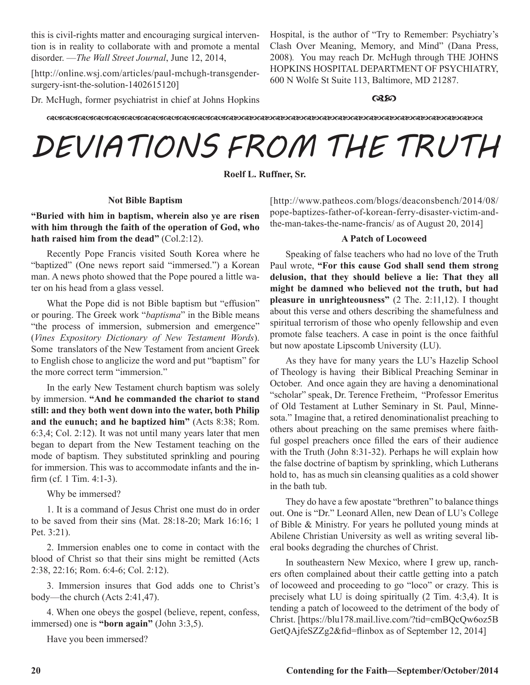this is civil-rights matter and encouraging surgical intervention is in reality to collaborate with and promote a mental disorder. —*The Wall Street Journal*, June 12, 2014,

[http://online.wsj.com/articles/paul-mchugh-transgendersurgery-isnt-the-solution-1402615120]

Hospital, is the author of "Try to Remember: Psychiatry's Clash Over Meaning, Memory, and Mind" (Dana Press, 2008)*.* You may reach Dr. McHugh through THE JOHNS HOPKINS HOSPITAL DEPARTMENT OF PSYCHIATRY, 600 N Wolfe St Suite 113, Baltimore, MD 21287.

#### Dr. McHugh, former psychiatrist in chief at Johns Hopkins

෬෨

dadadadadadaddadadadadadbdbdbdbdbdbdbdbdbdbdbdbdbdbdbdbd

# *DEVIATIONS FROM THE TRUTH*

**Roelf L. Ruffner, Sr.** 

#### **Not Bible Baptism**

**"Buried with him in baptism, wherein also ye are risen with him through the faith of the operation of God, who hath raised him from the dead"** (Col.2:12).

Recently Pope Francis visited South Korea where he "baptized" (One news report said "immersed.") a Korean man. A news photo showed that the Pope poured a little water on his head from a glass vessel.

What the Pope did is not Bible baptism but "effusion" or pouring. The Greek work "*baptisma*" in the Bible means "the process of immersion, submersion and emergence" (*Vines Expository Dictionary of New Testament Words*). Some translators of the New Testament from ancient Greek to English chose to anglicize the word and put "baptism" for the more correct term "immersion."

In the early New Testament church baptism was solely by immersion. **"And he commanded the chariot to stand still: and they both went down into the water, both Philip and the eunuch; and he baptized him"** (Acts 8:38; Rom. 6:3,4; Col. 2:12). It was not until many years later that men began to depart from the New Testament teaching on the mode of baptism. They substituted sprinkling and pouring for immersion. This was to accommodate infants and the infirm (cf. 1 Tim. 4:1-3).

Why be immersed?

1. It is a command of Jesus Christ one must do in order to be saved from their sins (Mat. 28:18-20; Mark 16:16; 1 Pet. 3:21).

2. Immersion enables one to come in contact with the blood of Christ so that their sins might be remitted (Acts 2:38, 22:16; Rom. 6:4-6; Col. 2:12).

3. Immersion insures that God adds one to Christ's body—the church (Acts 2:41,47).

4. When one obeys the gospel (believe, repent, confess, immersed) one is **"born again"** (John 3:3,5).

Have you been immersed?

[http://www.patheos.com/blogs/deaconsbench/2014/08/ pope-baptizes-father-of-korean-ferry-disaster-victim-andthe-man-takes-the-name-francis/ as of August 20, 2014]

#### **A Patch of Locoweed**

Speaking of false teachers who had no love of the Truth Paul wrote, **"For this cause God shall send them strong delusion, that they should believe a lie: That they all might be damned who believed not the truth, but had pleasure in unrighteousness"** (2 The. 2:11,12). I thought about this verse and others describing the shamefulness and spiritual terrorism of those who openly fellowship and even promote false teachers. A case in point is the once faithful but now apostate Lipscomb University (LU).

As they have for many years the LU's Hazelip School of Theology is having their Biblical Preaching Seminar in October. And once again they are having a denominational "scholar" speak, Dr. Terence Fretheim, "Professor Emeritus of Old Testament at Luther Seminary in St. Paul, Minnesota." Imagine that, a retired denominationalist preaching to others about preaching on the same premises where faithful gospel preachers once filled the ears of their audience with the Truth (John 8:31-32). Perhaps he will explain how the false doctrine of baptism by sprinkling, which Lutherans hold to, has as much sin cleansing qualities as a cold shower in the bath tub.

They do have a few apostate "brethren" to balance things out. One is "Dr." Leonard Allen, new Dean of LU's College of Bible & Ministry. For years he polluted young minds at Abilene Christian University as well as writing several liberal books degrading the churches of Christ.

In southeastern New Mexico, where I grew up, ranchers often complained about their cattle getting into a patch of locoweed and proceeding to go "loco" or crazy. This is precisely what LU is doing spiritually (2 Tim. 4:3,4). It is tending a patch of locoweed to the detriment of the body of Christ. [https://blu178.mail.live.com/?tid=cmBQcQw6oz5B GetQAjfeSZZg2&fid=flinbox as of September 12, 2014]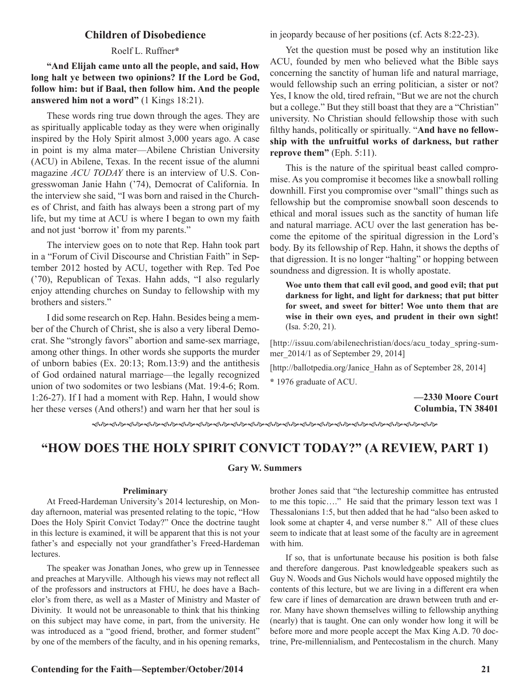#### **Children of Disobedience**

#### Roelf L. Ruffner**\***

**"And Elijah came unto all the people, and said, How long halt ye between two opinions? If the Lord be God, follow him: but if Baal, then follow him. And the people answered him not a word"** (1 Kings 18:21).

These words ring true down through the ages. They are as spiritually applicable today as they were when originally inspired by the Holy Spirit almost 3,000 years ago. A case in point is my alma mater—Abilene Christian University (ACU) in Abilene, Texas. In the recent issue of the alumni magazine *ACU TODAY* there is an interview of U.S. Congresswoman Janie Hahn ('74), Democrat of California. In the interview she said, "I was born and raised in the Churches of Christ, and faith has always been a strong part of my life, but my time at ACU is where I began to own my faith and not just 'borrow it' from my parents."

The interview goes on to note that Rep. Hahn took part in a "Forum of Civil Discourse and Christian Faith" in September 2012 hosted by ACU, together with Rep. Ted Poe ('70), Republican of Texas. Hahn adds, "I also regularly enjoy attending churches on Sunday to fellowship with my brothers and sisters."

I did some research on Rep. Hahn. Besides being a member of the Church of Christ, she is also a very liberal Democrat. She "strongly favors" abortion and same-sex marriage, among other things. In other words she supports the murder of unborn babies (Ex. 20:13; Rom.13:9) and the antithesis of God ordained natural marriage—the legally recognized union of two sodomites or two lesbians (Mat. 19:4-6; Rom. 1:26-27). If I had a moment with Rep. Hahn, I would show her these verses (And others!) and warn her that her soul is

in jeopardy because of her positions (cf. Acts 8:22-23).

Yet the question must be posed why an institution like ACU, founded by men who believed what the Bible says concerning the sanctity of human life and natural marriage, would fellowship such an erring politician, a sister or not? Yes, I know the old, tired refrain, "But we are not the church but a college." But they still boast that they are a "Christian" university. No Christian should fellowship those with such filthy hands, politically or spiritually. "**And have no fellowship with the unfruitful works of darkness, but rather reprove them"** (Eph. 5:11).

This is the nature of the spiritual beast called compromise. As you compromise it becomes like a snowball rolling downhill. First you compromise over "small" things such as fellowship but the compromise snowball soon descends to ethical and moral issues such as the sanctity of human life and natural marriage. ACU over the last generation has become the epitome of the spiritual digression in the Lord's body. By its fellowship of Rep. Hahn, it shows the depths of that digression. It is no longer "halting" or hopping between soundness and digression. It is wholly apostate.

**Woe unto them that call evil good, and good evil; that put darkness for light, and light for darkness; that put bitter for sweet, and sweet for bitter! Woe unto them that are wise in their own eyes, and prudent in their own sight!** (Isa. 5:20, 21).

[http://issuu.com/abilenechristian/docs/acu\_today\_spring-summer 2014/1 as of September 29, 2014]

[http://ballotpedia.org/Janice\_Hahn as of September 28, 2014]

**\*** 1976 graduate of ACU.

**—2330 Moore Court Columbia, TN 38401**

fefefefefefefefefefefefefefefefefefefefe

#### **"HOW DOES THE HOLY SPIRIT CONVICT TODAY?" (A REVIEW, PART 1)**

#### **Gary W. Summers**

#### **Preliminary**

At Freed-Hardeman University's 2014 lectureship, on Monday afternoon, material was presented relating to the topic, "How Does the Holy Spirit Convict Today?" Once the doctrine taught in this lecture is examined, it will be apparent that this is not your father's and especially not your grandfather's Freed-Hardeman lectures.

The speaker was Jonathan Jones, who grew up in Tennessee and preaches at Maryville. Although his views may not reflect all of the professors and instructors at FHU, he does have a Bachelor's from there, as well as a Master of Ministry and Master of Divinity. It would not be unreasonable to think that his thinking on this subject may have come, in part, from the university. He was introduced as a "good friend, brother, and former student" by one of the members of the faculty, and in his opening remarks,

brother Jones said that "the lectureship committee has entrusted to me this topic…." He said that the primary lesson text was 1 Thessalonians 1:5, but then added that he had "also been asked to look some at chapter 4, and verse number 8." All of these clues seem to indicate that at least some of the faculty are in agreement with him.

If so, that is unfortunate because his position is both false and therefore dangerous. Past knowledgeable speakers such as Guy N. Woods and Gus Nichols would have opposed mightily the contents of this lecture, but we are living in a different era when few care if lines of demarcation are drawn between truth and error. Many have shown themselves willing to fellowship anything (nearly) that is taught. One can only wonder how long it will be before more and more people accept the Max King A.D. 70 doctrine, Pre-millennialism, and Pentecostalism in the church. Many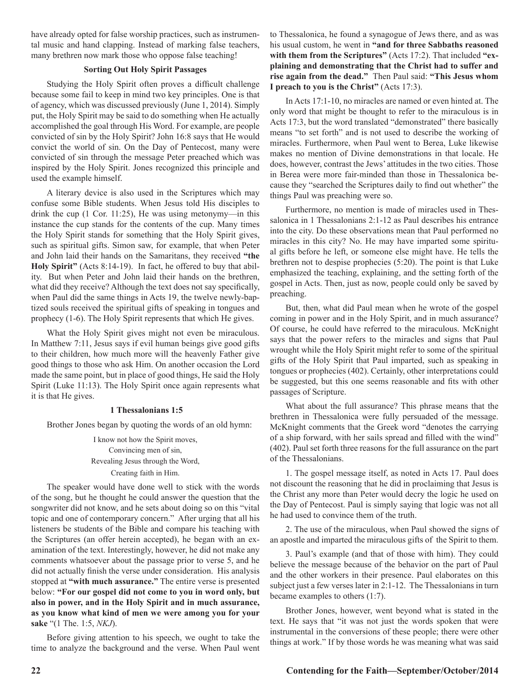have already opted for false worship practices, such as instrumental music and hand clapping. Instead of marking false teachers, many brethren now mark those who oppose false teaching!

#### **Sorting Out Holy Spirit Passages**

Studying the Holy Spirit often proves a difficult challenge because some fail to keep in mind two key principles. One is that of agency, which was discussed previously (June 1, 2014). Simply put, the Holy Spirit may be said to do something when He actually accomplished the goal through His Word. For example, are people convicted of sin by the Holy Spirit? John 16:8 says that He would convict the world of sin. On the Day of Pentecost, many were convicted of sin through the message Peter preached which was inspired by the Holy Spirit. Jones recognized this principle and used the example himself.

A literary device is also used in the Scriptures which may confuse some Bible students. When Jesus told His disciples to drink the cup (1 Cor. 11:25), He was using metonymy—in this instance the cup stands for the contents of the cup. Many times the Holy Spirit stands for something that the Holy Spirit gives, such as spiritual gifts. Simon saw, for example, that when Peter and John laid their hands on the Samaritans, they received **"the Holy Spirit"** (Acts 8:14-19). In fact, he offered to buy that ability. But when Peter and John laid their hands on the brethren, what did they receive? Although the text does not say specifically, when Paul did the same things in Acts 19, the twelve newly-baptized souls received the spiritual gifts of speaking in tongues and prophecy (1-6). The Holy Spirit represents that which He gives.

What the Holy Spirit gives might not even be miraculous. In Matthew 7:11, Jesus says if evil human beings give good gifts to their children, how much more will the heavenly Father give good things to those who ask Him. On another occasion the Lord made the same point, but in place of good things, He said the Holy Spirit (Luke 11:13). The Holy Spirit once again represents what it is that He gives.

#### **1 Thessalonians 1:5**

Brother Jones began by quoting the words of an old hymn:

I know not how the Spirit moves, Convincing men of sin, Revealing Jesus through the Word, Creating faith in Him.

The speaker would have done well to stick with the words of the song, but he thought he could answer the question that the songwriter did not know, and he sets about doing so on this "vital topic and one of contemporary concern." After urging that all his listeners be students of the Bible and compare his teaching with the Scriptures (an offer herein accepted), he began with an examination of the text. Interestingly, however, he did not make any comments whatsoever about the passage prior to verse 5, and he did not actually finish the verse under consideration. His analysis stopped at **"with much assurance."** The entire verse is presented below: **"For our gospel did not come to you in word only, but also in power, and in the Holy Spirit and in much assurance, as you know what kind of men we were among you for your sake** "(1 The. 1:5, *NKJ*).

Before giving attention to his speech, we ought to take the time to analyze the background and the verse. When Paul went to Thessalonica, he found a synagogue of Jews there, and as was his usual custom, he went in **"and for three Sabbaths reasoned with them from the Scriptures"** (Acts 17:2). That included **"explaining and demonstrating that the Christ had to suffer and rise again from the dead."** Then Paul said: **"This Jesus whom I preach to you is the Christ"** (Acts 17:3).

In Acts 17:1-10, no miracles are named or even hinted at. The only word that might be thought to refer to the miraculous is in Acts 17:3, but the word translated "demonstrated" there basically means "to set forth" and is not used to describe the working of miracles. Furthermore, when Paul went to Berea, Luke likewise makes no mention of Divine demonstrations in that locale. He does, however, contrast the Jews' attitudes in the two cities. Those in Berea were more fair-minded than those in Thessalonica because they "searched the Scriptures daily to find out whether" the things Paul was preaching were so.

Furthermore, no mention is made of miracles used in Thessalonica in 1 Thessalonians 2:1-12 as Paul describes his entrance into the city. Do these observations mean that Paul performed no miracles in this city? No. He may have imparted some spiritual gifts before he left, or someone else might have. He tells the brethren not to despise prophecies (5:20). The point is that Luke emphasized the teaching, explaining, and the setting forth of the gospel in Acts. Then, just as now, people could only be saved by preaching.

But, then, what did Paul mean when he wrote of the gospel coming in power and in the Holy Spirit, and in much assurance? Of course, he could have referred to the miraculous. McKnight says that the power refers to the miracles and signs that Paul wrought while the Holy Spirit might refer to some of the spiritual gifts of the Holy Spirit that Paul imparted, such as speaking in tongues or prophecies (402). Certainly, other interpretations could be suggested, but this one seems reasonable and fits with other passages of Scripture.

What about the full assurance? This phrase means that the brethren in Thessalonica were fully persuaded of the message. McKnight comments that the Greek word "denotes the carrying of a ship forward, with her sails spread and filled with the wind" (402). Paul set forth three reasons for the full assurance on the part of the Thessalonians.

1. The gospel message itself, as noted in Acts 17. Paul does not discount the reasoning that he did in proclaiming that Jesus is the Christ any more than Peter would decry the logic he used on the Day of Pentecost. Paul is simply saying that logic was not all he had used to convince them of the truth.

2. The use of the miraculous, when Paul showed the signs of an apostle and imparted the miraculous gifts of the Spirit to them.

3. Paul's example (and that of those with him). They could believe the message because of the behavior on the part of Paul and the other workers in their presence. Paul elaborates on this subject just a few verses later in 2:1-12. The Thessalonians in turn became examples to others (1:7).

Brother Jones, however, went beyond what is stated in the text. He says that "it was not just the words spoken that were instrumental in the conversions of these people; there were other things at work." If by those words he was meaning what was said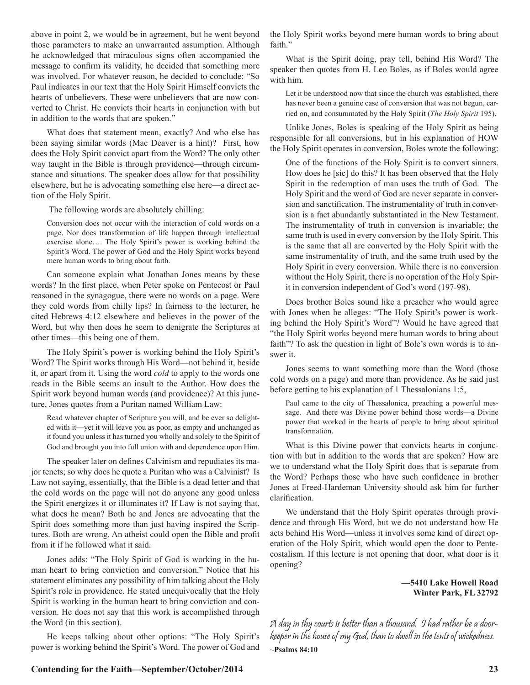above in point 2, we would be in agreement, but he went beyond those parameters to make an unwarranted assumption. Although he acknowledged that miraculous signs often accompanied the message to confirm its validity, he decided that something more was involved. For whatever reason, he decided to conclude: "So Paul indicates in our text that the Holy Spirit Himself convicts the hearts of unbelievers. These were unbelievers that are now converted to Christ. He convicts their hearts in conjunction with but in addition to the words that are spoken."

What does that statement mean, exactly? And who else has been saying similar words (Mac Deaver is a hint)? First, how does the Holy Spirit convict apart from the Word? The only other way taught in the Bible is through providence—through circumstance and situations. The speaker does allow for that possibility elsewhere, but he is advocating something else here—a direct action of the Holy Spirit.

The following words are absolutely chilling:

Conversion does not occur with the interaction of cold words on a page. Nor does transformation of life happen through intellectual exercise alone…. The Holy Spirit's power is working behind the Spirit's Word. The power of God and the Holy Spirit works beyond mere human words to bring about faith.

Can someone explain what Jonathan Jones means by these words? In the first place, when Peter spoke on Pentecost or Paul reasoned in the synagogue, there were no words on a page. Were they cold words from chilly lips? In fairness to the lecturer, he cited Hebrews 4:12 elsewhere and believes in the power of the Word, but why then does he seem to denigrate the Scriptures at other times—this being one of them.

The Holy Spirit's power is working behind the Holy Spirit's Word? The Spirit works through His Word—not behind it, beside it, or apart from it. Using the word *cold* to apply to the words one reads in the Bible seems an insult to the Author. How does the Spirit work beyond human words (and providence)? At this juncture, Jones quotes from a Puritan named William Law:

Read whatever chapter of Scripture you will, and be ever so delighted with it—yet it will leave you as poor, as empty and unchanged as it found you unless it has turned you wholly and solely to the Spirit of God and brought you into full union with and dependence upon Him.

The speaker later on defines Calvinism and repudiates its major tenets; so why does he quote a Puritan who was a Calvinist? Is Law not saying, essentially, that the Bible is a dead letter and that the cold words on the page will not do anyone any good unless the Spirit energizes it or illuminates it? If Law is not saying that, what does he mean? Both he and Jones are advocating that the Spirit does something more than just having inspired the Scriptures. Both are wrong. An atheist could open the Bible and profit from it if he followed what it said.

Jones adds: "The Holy Spirit of God is working in the human heart to bring conviction and conversion." Notice that his statement eliminates any possibility of him talking about the Holy Spirit's role in providence. He stated unequivocally that the Holy Spirit is working in the human heart to bring conviction and conversion. He does not say that this work is accomplished through the Word (in this section).

He keeps talking about other options: "The Holy Spirit's power is working behind the Spirit's Word. The power of God and the Holy Spirit works beyond mere human words to bring about faith."

What is the Spirit doing, pray tell, behind His Word? The speaker then quotes from H. Leo Boles, as if Boles would agree with him.

Let it be understood now that since the church was established, there has never been a genuine case of conversion that was not begun, carried on, and consummated by the Holy Spirit (*The Holy Spirit* 195).

Unlike Jones, Boles is speaking of the Holy Spirit as being responsible for all conversions, but in his explanation of HOW the Holy Spirit operates in conversion, Boles wrote the following:

One of the functions of the Holy Spirit is to convert sinners. How does he [sic] do this? It has been observed that the Holy Spirit in the redemption of man uses the truth of God. The Holy Spirit and the word of God are never separate in conversion and sanctification. The instrumentality of truth in conversion is a fact abundantly substantiated in the New Testament. The instrumentality of truth in conversion is invariable; the same truth is used in every conversion by the Holy Spirit. This is the same that all are converted by the Holy Spirit with the same instrumentality of truth, and the same truth used by the Holy Spirit in every conversion. While there is no conversion without the Holy Spirit, there is no operation of the Holy Spirit in conversion independent of God's word (197-98).

Does brother Boles sound like a preacher who would agree with Jones when he alleges: "The Holy Spirit's power is working behind the Holy Spirit's Word"? Would he have agreed that "the Holy Spirit works beyond mere human words to bring about faith"? To ask the question in light of Bole's own words is to answer it.

Jones seems to want something more than the Word (those cold words on a page) and more than providence. As he said just before getting to his explanation of 1 Thessalonians 1:5,

Paul came to the city of Thessalonica, preaching a powerful message. And there was Divine power behind those words—a Divine power that worked in the hearts of people to bring about spiritual transformation.

What is this Divine power that convicts hearts in conjunction with but in addition to the words that are spoken? How are we to understand what the Holy Spirit does that is separate from the Word? Perhaps those who have such confidence in brother Jones at Freed-Hardeman University should ask him for further clarification.

We understand that the Holy Spirit operates through providence and through His Word, but we do not understand how He acts behind His Word—unless it involves some kind of direct operation of the Holy Spirit, which would open the door to Pentecostalism. If this lecture is not opening that door, what door is it opening?

> **—5410 Lake Howell Road Winter Park, FL 32792**

A day in thy courts is better than a thousand. I had rather be a doorkeeper in the house of my God, than to dwell in the tents of wickedness. ~**Psalms 84:10**

#### **Contending for the Faith—September/October/2014 23**